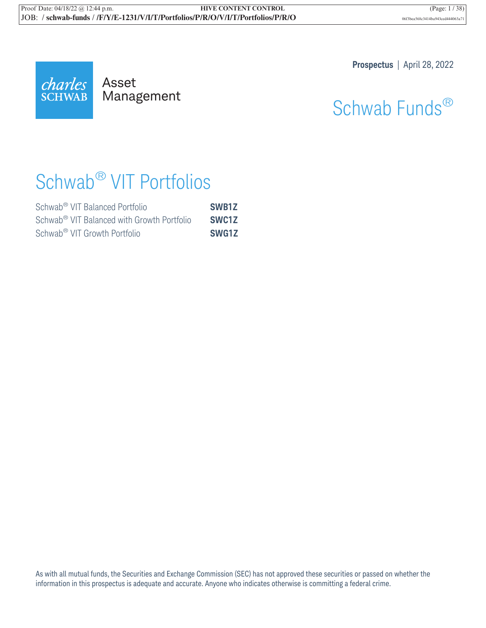

Mana Management **Prospectus** | April 28, 2022

# Schwab Funds®

# Schwab® VIT Portfolios

| Schwab <sup>®</sup> VIT Balanced Portfolio             | SWB1Z |
|--------------------------------------------------------|-------|
| Schwab <sup>®</sup> VIT Balanced with Growth Portfolio | SWC1Z |
| Schwab <sup>®</sup> VIT Growth Portfolio               | SWG1Z |

As with all mutual funds, the Securities and Exchange Commission (SEC) has not approved these securities or passed on whether the information in this prospectus is adequate and accurate. Anyone who indicates otherwise is committing a federal crime.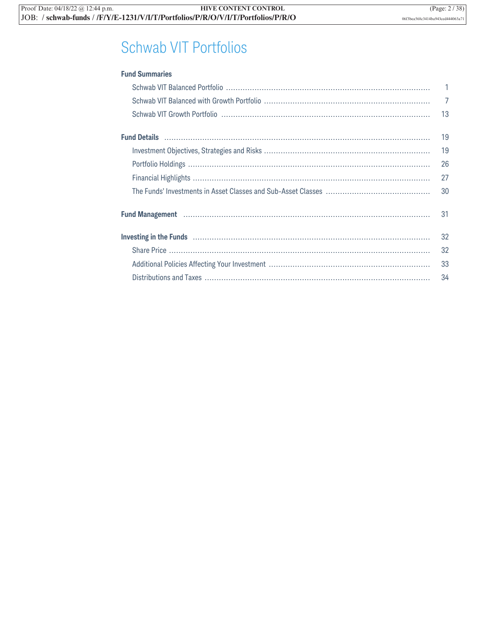## Schwab VIT Portfolios

| <b>Fund Summaries</b>                                                                                                   |                |
|-------------------------------------------------------------------------------------------------------------------------|----------------|
|                                                                                                                         | $\mathbf{1}$   |
|                                                                                                                         | $\overline{7}$ |
|                                                                                                                         | 13             |
|                                                                                                                         | 19             |
|                                                                                                                         | 19             |
|                                                                                                                         | 26             |
|                                                                                                                         | 27             |
|                                                                                                                         | 30             |
| Fund Management Management Management Management Management Management Management Management Management Management      | 31             |
| Investing in the Funds <b>continuum continuum continuum continuum continuum continuum continuum continuum continuum</b> | 32             |
|                                                                                                                         | 32             |
|                                                                                                                         | 33             |
|                                                                                                                         | 34             |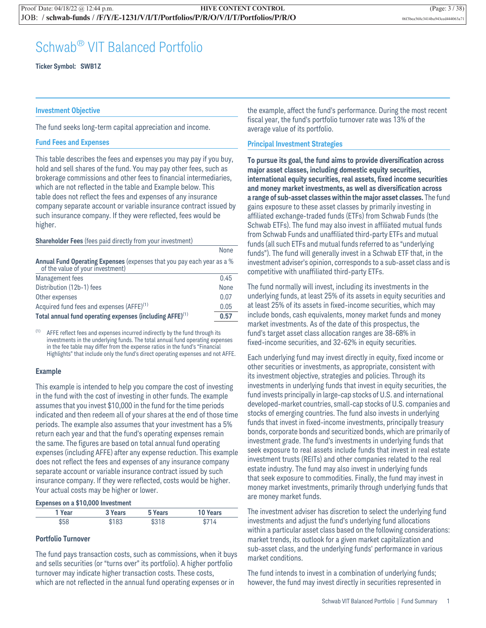### Schwab® VIT Balanced Portfolio

**Ticker Symbol: SWB1Z**

#### **Investment Objective**

The fund seeks long-term capital appreciation and income.

#### **Fund Fees and Expenses**

This table describes the fees and expenses you may pay if you buy, hold and sell shares of the fund. You may pay other fees, such as brokerage commissions and other fees to financial intermediaries, which are not reflected in the table and Example below. This table does not reflect the fees and expenses of any insurance company separate account or variable insurance contract issued by such insurance company. If they were reflected, fees would be higher.

#### **Shareholder Fees** (fees paid directly from your investment)

|                                                                                                            | <b>NOTIE</b> |
|------------------------------------------------------------------------------------------------------------|--------------|
| Annual Fund Operating Expenses (expenses that you pay each year as a %<br>of the value of your investment) |              |
| Management fees                                                                                            | 0.45         |
| Distribution (12b-1) fees                                                                                  | None         |
| Other expenses                                                                                             | 0.07         |
| Acquired fund fees and expenses (AFFE) <sup>(1)</sup>                                                      | 0.05         |
| Total annual fund operating expenses (including AFFE) <sup>(1)</sup>                                       | 0.57         |

 $(1)$  AFFE reflect fees and expenses incurred indirectly by the fund through its investments in the underlying funds. The total annual fund operating expenses in the fee table may differ from the expense ratios in the fund's "Financial Highlights" that include only the fund's direct operating expenses and not AFFE.

#### **Example**

This example is intended to help you compare the cost of investing in the fund with the cost of investing in other funds. The example assumes that you invest \$10,000 in the fund for the time periods indicated and then redeem all of your shares at the end of those time periods. The example also assumes that your investment has a 5% return each year and that the fund's operating expenses remain the same. The figures are based on total annual fund operating expenses (including AFFE) after any expense reduction. This example does not reflect the fees and expenses of any insurance company separate account or variable insurance contract issued by such insurance company. If they were reflected, costs would be higher. Your actual costs may be higher or lower.

#### **Expenses on a \$10,000 Investment**

| 1 Year | 3 Years | 5 Years | <b>10 Years</b> |
|--------|---------|---------|-----------------|
| \$58   | \$183   | \$318   | S714            |

#### **Portfolio Turnover**

The fund pays transaction costs, such as commissions, when it buys and sells securities (or "turns over" its portfolio). A higher portfolio turnover may indicate higher transaction costs. These costs, which are not reflected in the annual fund operating expenses or in

the example, affect the fund's performance. During the most recent fiscal year, the fund's portfolio turnover rate was 13% of the average value of its portfolio.

#### **Principal Investment Strategies**

None

**To pursue its goal, the fund aims to provide diversification across major asset classes, including domestic equity securities, international equity securities, real assets, fixed income securities and money market investments, as well as diversification across a range of sub-asset classes within the major asset classes.** The fund gains exposure to these asset classes by primarily investing in affiliated exchange-traded funds (ETFs) from Schwab Funds (the Schwab ETFs). The fund may also invest in affiliated mutual funds from Schwab Funds and unaffiliated third-party ETFs and mutual funds (all such ETFs and mutual funds referred to as "underlying funds"). The fund will generally invest in a Schwab ETF that, in the investment adviser's opinion, corresponds to a sub-asset class and is competitive with unaffiliated third-party ETFs.

The fund normally will invest, including its investments in the underlying funds, at least 25% of its assets in equity securities and at least 25% of its assets in fixed-income securities, which may include bonds, cash equivalents, money market funds and money market investments. As of the date of this prospectus, the fund's target asset class allocation ranges are 38-68% in fixed-income securities, and 32-62% in equity securities.

Each underlying fund may invest directly in equity, fixed income or other securities or investments, as appropriate, consistent with its investment objective, strategies and policies. Through its investments in underlying funds that invest in equity securities, the fund invests principally in large-cap stocks of U.S. and international developed-market countries, small-cap stocks of U.S. companies and stocks of emerging countries. The fund also invests in underlying funds that invest in fixed-income investments, principally treasury bonds, corporate bonds and securitized bonds, which are primarily of investment grade. The fund's investments in underlying funds that seek exposure to real assets include funds that invest in real estate investment trusts (REITs) and other companies related to the real estate industry. The fund may also invest in underlying funds that seek exposure to commodities. Finally, the fund may invest in money market investments, primarily through underlying funds that are money market funds.

The investment adviser has discretion to select the underlying fund investments and adjust the fund's underlying fund allocations within a particular asset class based on the following considerations: market trends, its outlook for a given market capitalization and sub-asset class, and the underlying funds' performance in various market conditions.

The fund intends to invest in a combination of underlying funds; however, the fund may invest directly in securities represented in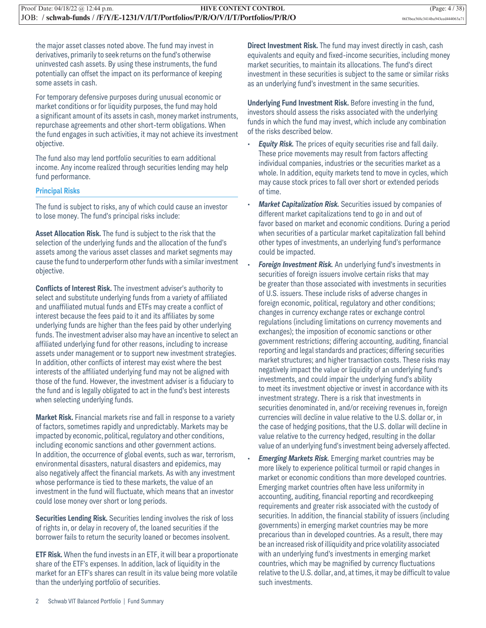the major asset classes noted above. The fund may invest in derivatives, primarily to seek returns on the fund's otherwise uninvested cash assets. By using these instruments, the fund potentially can offset the impact on its performance of keeping some assets in cash.

For temporary defensive purposes during unusual economic or market conditions or for liquidity purposes, the fund may hold a significant amount of its assets in cash, money market instruments, repurchase agreements and other short-term obligations. When the fund engages in such activities, it may not achieve its investment objective.

The fund also may lend portfolio securities to earn additional income. Any income realized through securities lending may help fund performance.

#### **Principal Risks**

The fund is subject to risks, any of which could cause an investor to lose money. The fund's principal risks include:

**Asset Allocation Risk.** The fund is subject to the risk that the selection of the underlying funds and the allocation of the fund's assets among the various asset classes and market segments may cause the fund to underperform other funds with a similar investment objective.

**Conflicts of Interest Risk.** The investment adviser's authority to select and substitute underlying funds from a variety of affiliated and unaffiliated mutual funds and ETFs may create a conflict of interest because the fees paid to it and its affiliates by some underlying funds are higher than the fees paid by other underlying funds. The investment adviser also may have an incentive to select an affiliated underlying fund for other reasons, including to increase assets under management or to support new investment strategies. In addition, other conflicts of interest may exist where the best interests of the affiliated underlying fund may not be aligned with those of the fund. However, the investment adviser is a fiduciary to the fund and is legally obligated to act in the fund's best interests when selecting underlying funds.

**Market Risk.** Financial markets rise and fall in response to a variety of factors, sometimes rapidly and unpredictably. Markets may be impacted by economic, political, regulatory and other conditions, including economic sanctions and other government actions. In addition, the occurrence of global events, such as war, terrorism, environmental disasters, natural disasters and epidemics, may also negatively affect the financial markets. As with any investment whose performance is tied to these markets, the value of an investment in the fund will fluctuate, which means that an investor could lose money over short or long periods.

**Securities Lending Risk.** Securities lending involves the risk of loss of rights in, or delay in recovery of, the loaned securities if the borrower fails to return the security loaned or becomes insolvent.

**ETF Risk.** When the fund invests in an ETF, it will bear a proportionate share of the ETF's expenses. In addition, lack of liquidity in the market for an ETF's shares can result in its value being more volatile than the underlying portfolio of securities.

**Direct Investment Risk.** The fund may invest directly in cash, cash equivalents and equity and fixed-income securities, including money market securities, to maintain its allocations. The fund's direct investment in these securities is subject to the same or similar risks as an underlying fund's investment in the same securities.

**Underlying Fund Investment Risk.** Before investing in the fund, investors should assess the risks associated with the underlying funds in which the fund may invest, which include any combination of the risks described below.

- **Equity Risk.** The prices of equity securities rise and fall daily. These price movements may result from factors affecting individual companies, industries or the securities market as a whole. In addition, equity markets tend to move in cycles, which may cause stock prices to fall over short or extended periods of time.
- *Market Capitalization Risk.* Securities issued by companies of different market capitalizations tend to go in and out of favor based on market and economic conditions. During a period when securities of a particular market capitalization fall behind other types of investments, an underlying fund's performance could be impacted.
- *Foreign Investment Risk.* An underlying fund's investments in securities of foreign issuers involve certain risks that may be greater than those associated with investments in securities of U.S. issuers. These include risks of adverse changes in foreign economic, political, regulatory and other conditions; changes in currency exchange rates or exchange control regulations (including limitations on currency movements and exchanges); the imposition of economic sanctions or other government restrictions; differing accounting, auditing, financial reporting and legal standards and practices; differing securities market structures; and higher transaction costs. These risks may negatively impact the value or liquidity of an underlying fund's investments, and could impair the underlying fund's ability to meet its investment objective or invest in accordance with its investment strategy. There is a risk that investments in securities denominated in, and/or receiving revenues in, foreign currencies will decline in value relative to the U.S. dollar or, in the case of hedging positions, that the U.S. dollar will decline in value relative to the currency hedged, resulting in the dollar value of an underlying fund's investment being adversely affected.

• *Emerging Markets Risk.* Emerging market countries may be more likely to experience political turmoil or rapid changes in market or economic conditions than more developed countries. Emerging market countries often have less uniformity in accounting, auditing, financial reporting and recordkeeping requirements and greater risk associated with the custody of securities. In addition, the financial stability of issuers (including governments) in emerging market countries may be more precarious than in developed countries. As a result, there may be an increased risk of illiquidity and price volatility associated with an underlying fund's investments in emerging market countries, which may be magnified by currency fluctuations relative to the U.S. dollar, and, at times, it may be difficult to value such investments.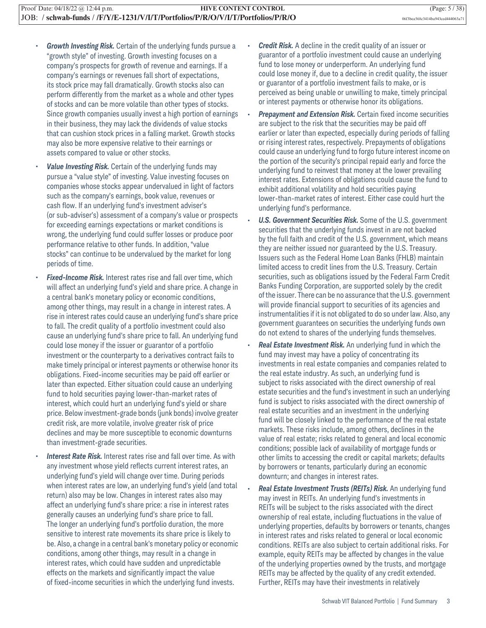- *Growth Investing Risk.* Certain of the underlying funds pursue a "growth style" of investing. Growth investing focuses on a company's prospects for growth of revenue and earnings. If a company's earnings or revenues fall short of expectations, its stock price may fall dramatically. Growth stocks also can perform differently from the market as a whole and other types of stocks and can be more volatile than other types of stocks. Since growth companies usually invest a high portion of earnings in their business, they may lack the dividends of value stocks that can cushion stock prices in a falling market. Growth stocks may also be more expensive relative to their earnings or assets compared to value or other stocks.
- Value Investing Risk. Certain of the underlying funds may pursue a "value style" of investing. Value investing focuses on companies whose stocks appear undervalued in light of factors such as the company's earnings, book value, revenues or cash flow. If an underlying fund's investment adviser's (or sub-adviser's) assessment of a company's value or prospects for exceeding earnings expectations or market conditions is wrong, the underlying fund could suffer losses or produce poor performance relative to other funds. In addition, "value stocks" can continue to be undervalued by the market for long periods of time.
- **Fixed-Income Risk.** Interest rates rise and fall over time, which will affect an underlying fund's yield and share price. A change in a central bank's monetary policy or economic conditions, among other things, may result in a change in interest rates. A rise in interest rates could cause an underlying fund's share price to fall. The credit quality of a portfolio investment could also cause an underlying fund's share price to fall. An underlying fund could lose money if the issuer or guarantor of a portfolio investment or the counterparty to a derivatives contract fails to make timely principal or interest payments or otherwise honor its obligations. Fixed-income securities may be paid off earlier or later than expected. Either situation could cause an underlying fund to hold securities paying lower-than-market rates of interest, which could hurt an underlying fund's yield or share price. Below investment-grade bonds (junk bonds) involve greater credit risk, are more volatile, involve greater risk of price declines and may be more susceptible to economic downturns than investment-grade securities.
- **Interest Rate Risk.** Interest rates rise and fall over time. As with any investment whose yield reflects current interest rates, an underlying fund's yield will change over time. During periods when interest rates are low, an underlying fund's yield (and total return) also may be low. Changes in interest rates also may affect an underlying fund's share price: a rise in interest rates generally causes an underlying fund's share price to fall. The longer an underlying fund's portfolio duration, the more sensitive to interest rate movements its share price is likely to be. Also, a change in a central bank's monetary policy or economic conditions, among other things, may result in a change in interest rates, which could have sudden and unpredictable effects on the markets and significantly impact the value of fixed-income securities in which the underlying fund invests.
- *Credit Risk.* A decline in the credit quality of an issuer or guarantor of a portfolio investment could cause an underlying fund to lose money or underperform. An underlying fund could lose money if, due to a decline in credit quality, the issuer or guarantor of a portfolio investment fails to make, or is perceived as being unable or unwilling to make, timely principal or interest payments or otherwise honor its obligations.
- **Prepayment and Extension Risk.** Certain fixed income securities are subject to the risk that the securities may be paid off earlier or later than expected, especially during periods of falling or rising interest rates, respectively. Prepayments of obligations could cause an underlying fund to forgo future interest income on the portion of the security's principal repaid early and force the underlying fund to reinvest that money at the lower prevailing interest rates. Extensions of obligations could cause the fund to exhibit additional volatility and hold securities paying lower-than-market rates of interest. Either case could hurt the underlying fund's performance.
- *U.S. Government Securities Risk.* Some of the U.S. government securities that the underlying funds invest in are not backed by the full faith and credit of the U.S. government, which means they are neither issued nor guaranteed by the U.S. Treasury. Issuers such as the Federal Home Loan Banks (FHLB) maintain limited access to credit lines from the U.S. Treasury. Certain securities, such as obligations issued by the Federal Farm Credit Banks Funding Corporation, are supported solely by the credit of the issuer. There can be no assurance that the U.S. government will provide financial support to securities of its agencies and instrumentalities if it is not obligated to do so under law. Also, any government guarantees on securities the underlying funds own do not extend to shares of the underlying funds themselves.
- *Real Estate Investment Risk.* An underlying fund in which the fund may invest may have a policy of concentrating its investments in real estate companies and companies related to the real estate industry. As such, an underlying fund is subject to risks associated with the direct ownership of real estate securities and the fund's investment in such an underlying fund is subject to risks associated with the direct ownership of real estate securities and an investment in the underlying fund will be closely linked to the performance of the real estate markets. These risks include, among others, declines in the value of real estate; risks related to general and local economic conditions; possible lack of availability of mortgage funds or other limits to accessing the credit or capital markets; defaults by borrowers or tenants, particularly during an economic downturn; and changes in interest rates.
- *Real Estate Investment Trusts (REITs) Risk.* An underlying fund may invest in REITs. An underlying fund's investments in REITs will be subject to the risks associated with the direct ownership of real estate, including fluctuations in the value of underlying properties, defaults by borrowers or tenants, changes in interest rates and risks related to general or local economic conditions. REITs are also subject to certain additional risks. For example, equity REITs may be affected by changes in the value of the underlying properties owned by the trusts, and mortgage REITs may be affected by the quality of any credit extended. Further, REITs may have their investments in relatively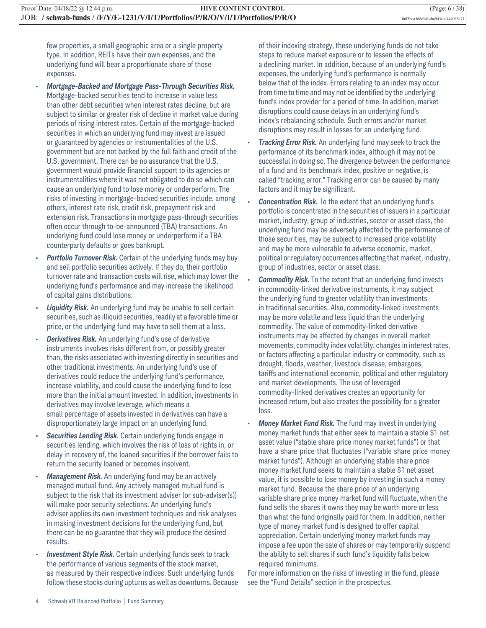few properties, a small geographic area or a single property type. In addition, REITs have their own expenses, and the underlying fund will bear a proportionate share of those expenses.

- *Mortgage-Backed and Mortgage Pass-Through Securities Risk.* Mortgage-backed securities tend to increase in value less than other debt securities when interest rates decline, but are subject to similar or greater risk of decline in market value during periods of rising interest rates. Certain of the mortgage-backed securities in which an underlying fund may invest are issued or guaranteed by agencies or instrumentalities of the U.S. government but are not backed by the full faith and credit of the U.S. government. There can be no assurance that the U.S. government would provide financial support to its agencies or instrumentalities where it was not obligated to do so which can cause an underlying fund to lose money or underperform. The risks of investing in mortgage-backed securities include, among others, interest rate risk, credit risk, prepayment risk and extension risk. Transactions in mortgage pass-through securities often occur through to-be-announced (TBA) transactions. An underlying fund could lose money or underperform if a TBA counterparty defaults or goes bankrupt.
- **Portfolio Turnover Risk.** Certain of the underlying funds may buy and sell portfolio securities actively. If they do, their portfolio turnover rate and transaction costs will rise, which may lower the underlying fund's performance and may increase the likelihood of capital gains distributions.
- **Liquidity Risk.** An underlying fund may be unable to sell certain securities, such as illiquid securities, readily at a favorable time or price, or the underlying fund may have to sell them at a loss.
- **Derivatives Risk.** An underlying fund's use of derivative instruments involves risks different from, or possibly greater than, the risks associated with investing directly in securities and other traditional investments. An underlying fund's use of derivatives could reduce the underlying fund's performance, increase volatility, and could cause the underlying fund to lose more than the initial amount invested. In addition, investments in derivatives may involve leverage, which means a small percentage of assets invested in derivatives can have a disproportionately large impact on an underlying fund.
- **Securities Lending Risk.** Certain underlying funds engage in securities lending, which involves the risk of loss of rights in, or delay in recovery of, the loaned securities if the borrower fails to return the security loaned or becomes insolvent.
- **Management Risk.** An underlying fund may be an actively managed mutual fund. Any actively managed mutual fund is subject to the risk that its investment adviser (or sub-adviser(s)) will make poor security selections. An underlying fund's adviser applies its own investment techniques and risk analyses in making investment decisions for the underlying fund, but there can be no guarantee that they will produce the desired results.
- **Investment Style Risk.** Certain underlying funds seek to track the performance of various segments of the stock market, as measured by their respective indices. Such underlying funds follow these stocks during upturns as well as downturns. Because

of their indexing strategy, these underlying funds do not take steps to reduce market exposure or to lessen the effects of a declining market. In addition, because of an underlying fund's expenses, the underlying fund's performance is normally below that of the index. Errors relating to an index may occur from time to time and may not be identified by the underlying fund's index provider for a period of time. In addition, market disruptions could cause delays in an underlying fund's index's rebalancing schedule. Such errors and/or market disruptions may result in losses for an underlying fund.

- **Tracking Error Risk.** An underlying fund may seek to track the performance of its benchmark index, although it may not be successful in doing so. The divergence between the performance of a fund and its benchmark index, positive or negative, is called "tracking error." Tracking error can be caused by many factors and it may be significant.
- *Concentration Risk.* To the extent that an underlying fund's portfolio is concentrated in the securities of issuers in a particular market, industry, group of industries, sector or asset class, the underlying fund may be adversely affected by the performance of those securities, may be subject to increased price volatility and may be more vulnerable to adverse economic, market, political or regulatory occurrences affecting that market, industry, group of industries, sector or asset class.
- **Commodity Risk.** To the extent that an underlying fund invests in commodity-linked derivative instruments, it may subject the underlying fund to greater volatility than investments in traditional securities. Also, commodity-linked investments may be more volatile and less liquid than the underlying commodity. The value of commodity-linked derivative instruments may be affected by changes in overall market movements, commodity index volatility, changes in interest rates, or factors affecting a particular industry or commodity, such as drought, floods, weather, livestock disease, embargoes, tariffs and international economic, political and other regulatory and market developments. The use of leveraged commodity-linked derivatives creates an opportunity for increased return, but also creates the possibility for a greater loss.
- *Money Market Fund Risk.* The fund may invest in underlying money market funds that either seek to maintain a stable \$1 net asset value ("stable share price money market funds") or that have a share price that fluctuates ("variable share price money market funds"). Although an underlying stable share price money market fund seeks to maintain a stable \$1 net asset value, it is possible to lose money by investing in such a money market fund. Because the share price of an underlying variable share price money market fund will fluctuate, when the fund sells the shares it owns they may be worth more or less than what the fund originally paid for them. In addition, neither type of money market fund is designed to offer capital appreciation. Certain underlying money market funds may impose a fee upon the sale of shares or may temporarily suspend the ability to sell shares if such fund's liquidity falls below required minimums.

For more information on the risks of investing in the fund, please see the "Fund Details" section in the prospectus.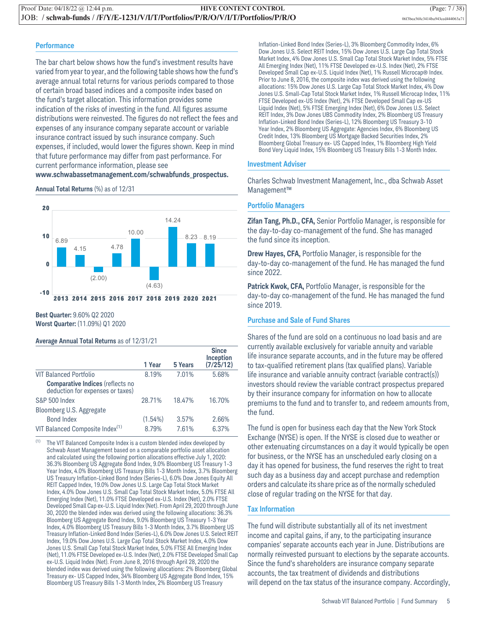#### **Performance**

The bar chart below shows how the fund's investment results have varied from year to year, and the following table shows how the fund's average annual total returns for various periods compared to those of certain broad based indices and a composite index based on the fund's target allocation. This information provides some indication of the risks of investing in the fund. All figures assume distributions were reinvested. The figures do not reflect the fees and expenses of any insurance company separate account or variable insurance contract issued by such insurance company. Such expenses, if included, would lower the figures shown. Keep in mind that future performance may differ from past performance. For current performance information, please see **www.schwabassetmanagement.com/schwabfunds\_prospectus.**

**Annual Total Returns** (%) as of 12/31



**Best Quarter:** 9.60% Q2 2020 **Worst Quarter:** (11.09%) Q1 2020

#### **Average Annual Total Returns** as of 12/31/21

|                                                                          | 1 Year     | 5 Years | <b>Since</b><br>Inception<br>(7/25/12) |
|--------------------------------------------------------------------------|------------|---------|----------------------------------------|
| <b>VIT Balanced Portfolio</b>                                            | 8.19%      | 7.01%   | 5.68%                                  |
| <b>Comparative Indices (reflects no deduction for expenses or taxes)</b> |            |         |                                        |
| S&P 500 Index                                                            | 28.71%     | 18.47%  | 16.70%                                 |
| Bloomberg U.S. Aggregate                                                 |            |         |                                        |
| <b>Bond Index</b>                                                        | $(1.54\%)$ | 3.57%   | 2.66%                                  |
| VIT Balanced Composite Index(1)                                          | 8.79%      | 7.61%   | 6.37%                                  |

(1) The VIT Balanced Composite Index is a custom blended index developed by Schwab Asset Management based on a comparable portfolio asset allocation and calculated using the following portion allocations effective July 1, 2020: 36.3% Bloomberg US Aggregate Bond Index, 9.0% Bloomberg US Treasury 1-3 Year Index, 4.0% Bloomberg US Treasury Bills 1-3 Month Index, 3.7% Bloomberg US Treasury Inflation-Linked Bond Index (Series-L), 6.0% Dow Jones Equity All REIT Capped Index, 19.0% Dow Jones U.S. Large Cap Total Stock Market Index, 4.0% Dow Jones U.S. Small Cap Total Stock Market Index, 5.0% FTSE All Emerging Index (Net), 11.0% FTSE Developed ex-U.S. Index (Net), 2.0% FTSE Developed Small Cap ex-U.S. Liquid Index (Net). From April 29, 2020 through June 30, 2020 the blended index was derived using the following allocations: 36.3% Bloomberg US Aggregate Bond Index, 9.0% Bloomberg US Treasury 1-3 Year Index, 4.0% Bloomberg US Treasury Bills 1-3 Month Index, 3.7% Bloomberg US Treasury Inflation-Linked Bond Index (Series-L), 6.0% Dow Jones U.S. Select REIT Index, 19.0% Dow Jones U.S. Large Cap Total Stock Market Index, 4.0% Dow Jones U.S. Small Cap Total Stock Market Index, 5.0% FTSE All Emerging Index (Net), 11.0% FTSE Developed ex-U.S. Index (Net), 2.0% FTSE Developed Small Cap ex-U.S. Liquid Index (Net). From June 8, 2016 through April 28, 2020 the blended index was derived using the following allocations: 2% Bloomberg Global Treasury ex- US Capped Index, 34% Bloomberg US Aggregate Bond Index, 15% Bloomberg US Treasury Bills 1-3 Month Index, 2% Bloomberg US Treasury

Inflation-Linked Bond Index (Series-L), 3% Bloomberg Commodity Index, 6% Dow Jones U.S. Select REIT Index, 15% Dow Jones U.S. Large Cap Total Stock Market Index, 4% Dow Jones U.S. Small Cap Total Stock Market Index, 5% FTSE All Emerging Index (Net), 11% FTSE Developed ex-U.S. Index (Net), 2% FTSE Developed Small Cap ex-U.S. Liquid Index (Net), 1% Russell Microcap® Index. Prior to June 8, 2016, the composite index was derived using the following allocations: 15% Dow Jones U.S. Large Cap Total Stock Market Index, 4% Dow Jones U.S. Small-Cap Total Stock Market Index, 1% Russell Microcap Index, 11% FTSE Developed ex-US Index (Net), 2% FTSE Developed Small Cap ex-US Liquid Index (Net), 5% FTSE Emerging Index (Net), 6% Dow Jones U.S. Select REIT Index, 3% Dow Jones UBS Commodity Index, 2% Bloomberg US Treasury Inflation-Linked Bond Index (Series-L), 12% Bloomberg US Treasury 3-10 Year Index, 2% Bloomberg US Aggregate: Agencies Index, 6% Bloomberg US Credit Index, 13% Bloomberg US Mortgage Backed Securities Index, 2% Bloomberg Global Treasury ex- US Capped Index, 1% Bloomberg High Yield Bond Very Liquid Index, 15% Bloomberg US Treasury Bills 1-3 Month Index.

#### **Investment Adviser**

Charles Schwab Investment Management, Inc., dba Schwab Asset Management™

#### **Portfolio Managers**

**Zifan Tang, Ph.D., CFA,** Senior Portfolio Manager, is responsible for the day-to-day co-management of the fund. She has managed the fund since its inception.

**Drew Hayes, CFA,** Portfolio Manager, is responsible for the day-to-day co-management of the fund. He has managed the fund since 2022.

**Patrick Kwok, CFA,** Portfolio Manager, is responsible for the day-to-day co-management of the fund. He has managed the fund since 2019.

#### **Purchase and Sale of Fund Shares**

Shares of the fund are sold on a continuous no load basis and are currently available exclusively for variable annuity and variable life insurance separate accounts, and in the future may be offered to tax-qualified retirement plans (tax qualified plans). Variable life insurance and variable annuity contract (variable contract(s)) investors should review the variable contract prospectus prepared by their insurance company for information on how to allocate premiums to the fund and to transfer to, and redeem amounts from, the fund.

The fund is open for business each day that the New York Stock Exchange (NYSE) is open. If the NYSE is closed due to weather or other extenuating circumstances on a day it would typically be open for business, or the NYSE has an unscheduled early closing on a day it has opened for business, the fund reserves the right to treat such day as a business day and accept purchase and redemption orders and calculate its share price as of the normally scheduled close of regular trading on the NYSE for that day.

#### **Tax Information**

The fund will distribute substantially all of its net investment income and capital gains, if any, to the participating insurance companies' separate accounts each year in June. Distributions are normally reinvested pursuant to elections by the separate accounts. Since the fund's shareholders are insurance company separate accounts, the tax treatment of dividends and distributions will depend on the tax status of the insurance company. Accordingly,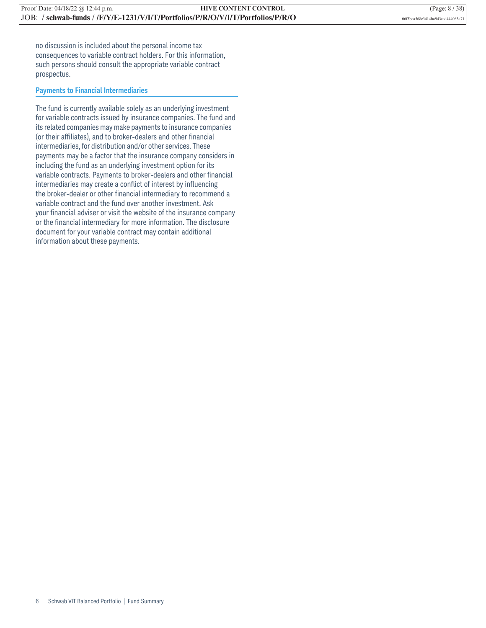no discussion is included about the personal income tax consequences to variable contract holders. For this information, such persons should consult the appropriate variable contract prospectus.

#### **Payments to Financial Intermediaries**

The fund is currently available solely as an underlying investment for variable contracts issued by insurance companies. The fund and its related companies may make payments to insurance companies (or their affiliates), and to broker-dealers and other financial intermediaries, for distribution and/or other services. These payments may be a factor that the insurance company considers in including the fund as an underlying investment option for its variable contracts. Payments to broker-dealers and other financial intermediaries may create a conflict of interest by influencing the broker-dealer or other financial intermediary to recommend a variable contract and the fund over another investment. Ask your financial adviser or visit the website of the insurance company or the financial intermediary for more information. The disclosure document for your variable contract may contain additional information about these payments.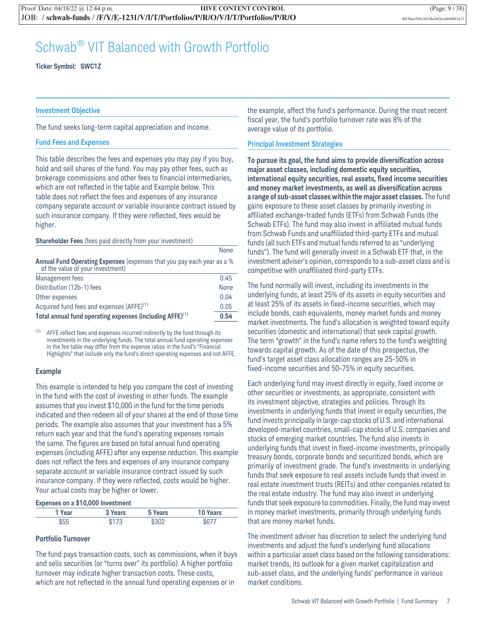### Schwab® VIT Balanced with Growth Portfolio

**Ticker Symbol: SWC1Z**

#### **Investment Objective**

The fund seeks long-term capital appreciation and income.

#### **Fund Fees and Expenses**

This table describes the fees and expenses you may pay if you buy, hold and sell shares of the fund. You may pay other fees, such as brokerage commissions and other fees to financial intermediaries, which are not reflected in the table and Example below. This table does not reflect the fees and expenses of any insurance company separate account or variable insurance contract issued by such insurance company. If they were reflected, fees would be higher.

#### **Shareholder Fees** (fees paid directly from your investment)

|                                                                                                            | None |
|------------------------------------------------------------------------------------------------------------|------|
| Annual Fund Operating Expenses (expenses that you pay each year as a %<br>of the value of your investment) |      |
| Management fees                                                                                            | 0.45 |
| Distribution (12b-1) fees                                                                                  | None |
| Other expenses                                                                                             | 0.04 |
| Acquired fund fees and expenses (AFFE) <sup>(1)</sup>                                                      | 0.05 |
| Total annual fund operating expenses (including AFFE) <sup>(1)</sup>                                       | 0.54 |

 $(1)$  AFFE reflect fees and expenses incurred indirectly by the fund through its investments in the underlying funds. The total annual fund operating expenses in the fee table may differ from the expense ratios in the fund's "Financial Highlights" that include only the fund's direct operating expenses and not AFFE.

#### **Example**

This example is intended to help you compare the cost of investing in the fund with the cost of investing in other funds. The example assumes that you invest \$10,000 in the fund for the time periods indicated and then redeem all of your shares at the end of those time periods. The example also assumes that your investment has a 5% return each year and that the fund's operating expenses remain the same. The figures are based on total annual fund operating expenses (including AFFE) after any expense reduction. This example does not reflect the fees and expenses of any insurance company separate account or variable insurance contract issued by such insurance company. If they were reflected, costs would be higher. Your actual costs may be higher or lower.

#### **Expenses on a \$10,000 Investment**

| 1 Year | 3 Years     | 5 Years     | <b>10 Years</b> |
|--------|-------------|-------------|-----------------|
| \$55   | <b>4172</b> | <b>¢3US</b> | \$677           |

#### **Portfolio Turnover**

The fund pays transaction costs, such as commissions, when it buys and sells securities (or "turns over" its portfolio). A higher portfolio turnover may indicate higher transaction costs. These costs, which are not reflected in the annual fund operating expenses or in

the example, affect the fund's performance. During the most recent fiscal year, the fund's portfolio turnover rate was 8% of the average value of its portfolio.

#### **Principal Investment Strategies**

**To pursue its goal, the fund aims to provide diversification across major asset classes, including domestic equity securities, international equity securities, real assets, fixed income securities and money market investments, as well as diversification across a range of sub-asset classes within the major asset classes.** The fund gains exposure to these asset classes by primarily investing in affiliated exchange-traded funds (ETFs) from Schwab Funds (the Schwab ETFs). The fund may also invest in affiliated mutual funds from Schwab Funds and unaffiliated third-party ETFs and mutual funds (all such ETFs and mutual funds referred to as "underlying funds"). The fund will generally invest in a Schwab ETF that, in the investment adviser's opinion, corresponds to a sub-asset class and is competitive with unaffiliated third-party ETFs.

The fund normally will invest, including its investments in the underlying funds, at least 25% of its assets in equity securities and at least 25% of its assets in fixed-income securities, which may include bonds, cash equivalents, money market funds and money market investments. The fund's allocation is weighted toward equity securities (domestic and international) that seek capital growth. The term "growth" in the fund's name refers to the fund's weighting towards capital growth. As of the date of this prospectus, the fund's target asset class allocation ranges are 25-50% in fixed-income securities and 50-75% in equity securities.

Each underlying fund may invest directly in equity, fixed income or other securities or investments, as appropriate, consistent with its investment objective, strategies and policies. Through its investments in underlying funds that invest in equity securities, the fund invests principally in large-cap stocks of U.S. and international developed-market countries, small-cap stocks of U.S. companies and stocks of emerging market countries. The fund also invests in underlying funds that invest in fixed-income investments, principally treasury bonds, corporate bonds and securitized bonds, which are primarily of investment grade. The fund's investments in underlying funds that seek exposure to real assets include funds that invest in real estate investment trusts (REITs) and other companies related to the real estate industry. The fund may also invest in underlying funds that seek exposure to commodities. Finally, the fund may invest in money market investments, primarily through underlying funds that are money market funds.

The investment adviser has discretion to select the underlying fund investments and adjust the fund's underlying fund allocations within a particular asset class based on the following considerations: market trends, its outlook for a given market capitalization and sub-asset class, and the underlying funds' performance in various market conditions.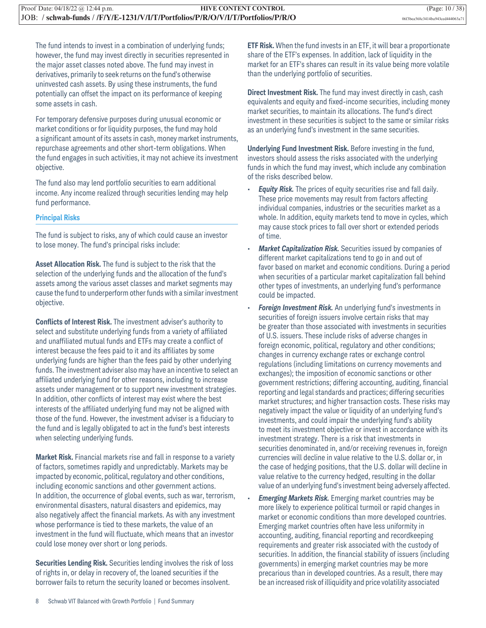The fund intends to invest in a combination of underlying funds; however, the fund may invest directly in securities represented in the major asset classes noted above. The fund may invest in derivatives, primarily to seek returns on the fund's otherwise uninvested cash assets. By using these instruments, the fund potentially can offset the impact on its performance of keeping some assets in cash.

For temporary defensive purposes during unusual economic or market conditions or for liquidity purposes, the fund may hold a significant amount of its assets in cash, money market instruments, repurchase agreements and other short-term obligations. When the fund engages in such activities, it may not achieve its investment objective.

The fund also may lend portfolio securities to earn additional income. Any income realized through securities lending may help fund performance.

#### **Principal Risks**

The fund is subject to risks, any of which could cause an investor to lose money. The fund's principal risks include:

**Asset Allocation Risk.** The fund is subject to the risk that the selection of the underlying funds and the allocation of the fund's assets among the various asset classes and market segments may cause the fund to underperform other funds with a similar investment objective.

**Conflicts of Interest Risk.** The investment adviser's authority to select and substitute underlying funds from a variety of affiliated and unaffiliated mutual funds and ETFs may create a conflict of interest because the fees paid to it and its affiliates by some underlying funds are higher than the fees paid by other underlying funds. The investment adviser also may have an incentive to select an affiliated underlying fund for other reasons, including to increase assets under management or to support new investment strategies. In addition, other conflicts of interest may exist where the best interests of the affiliated underlying fund may not be aligned with those of the fund. However, the investment adviser is a fiduciary to the fund and is legally obligated to act in the fund's best interests when selecting underlying funds.

**Market Risk.** Financial markets rise and fall in response to a variety of factors, sometimes rapidly and unpredictably. Markets may be impacted by economic, political, regulatory and other conditions, including economic sanctions and other government actions. In addition, the occurrence of global events, such as war, terrorism, environmental disasters, natural disasters and epidemics, may also negatively affect the financial markets. As with any investment whose performance is tied to these markets, the value of an investment in the fund will fluctuate, which means that an investor could lose money over short or long periods.

**Securities Lending Risk.** Securities lending involves the risk of loss of rights in, or delay in recovery of, the loaned securities if the borrower fails to return the security loaned or becomes insolvent.

**ETF Risk.** When the fund invests in an ETF, it will bear a proportionate share of the ETF's expenses. In addition, lack of liquidity in the market for an ETF's shares can result in its value being more volatile than the underlying portfolio of securities.

**Direct Investment Risk.** The fund may invest directly in cash, cash equivalents and equity and fixed-income securities, including money market securities, to maintain its allocations. The fund's direct investment in these securities is subject to the same or similar risks as an underlying fund's investment in the same securities.

**Underlying Fund Investment Risk.** Before investing in the fund, investors should assess the risks associated with the underlying funds in which the fund may invest, which include any combination of the risks described below.

- **Equity Risk.** The prices of equity securities rise and fall daily. These price movements may result from factors affecting individual companies, industries or the securities market as a whole. In addition, equity markets tend to move in cycles, which may cause stock prices to fall over short or extended periods of time.
- *Market Capitalization Risk.* Securities issued by companies of different market capitalizations tend to go in and out of favor based on market and economic conditions. During a period when securities of a particular market capitalization fall behind other types of investments, an underlying fund's performance could be impacted.
- *Foreign Investment Risk.* An underlying fund's investments in securities of foreign issuers involve certain risks that may be greater than those associated with investments in securities of U.S. issuers. These include risks of adverse changes in foreign economic, political, regulatory and other conditions; changes in currency exchange rates or exchange control regulations (including limitations on currency movements and exchanges); the imposition of economic sanctions or other government restrictions; differing accounting, auditing, financial reporting and legal standards and practices; differing securities market structures; and higher transaction costs. These risks may negatively impact the value or liquidity of an underlying fund's investments, and could impair the underlying fund's ability to meet its investment objective or invest in accordance with its investment strategy. There is a risk that investments in securities denominated in, and/or receiving revenues in, foreign currencies will decline in value relative to the U.S. dollar or, in the case of hedging positions, that the U.S. dollar will decline in value relative to the currency hedged, resulting in the dollar value of an underlying fund's investment being adversely affected.
- *Emerging Markets Risk.* Emerging market countries may be more likely to experience political turmoil or rapid changes in market or economic conditions than more developed countries. Emerging market countries often have less uniformity in accounting, auditing, financial reporting and recordkeeping requirements and greater risk associated with the custody of securities. In addition, the financial stability of issuers (including governments) in emerging market countries may be more precarious than in developed countries. As a result, there may be an increased risk of illiquidity and price volatility associated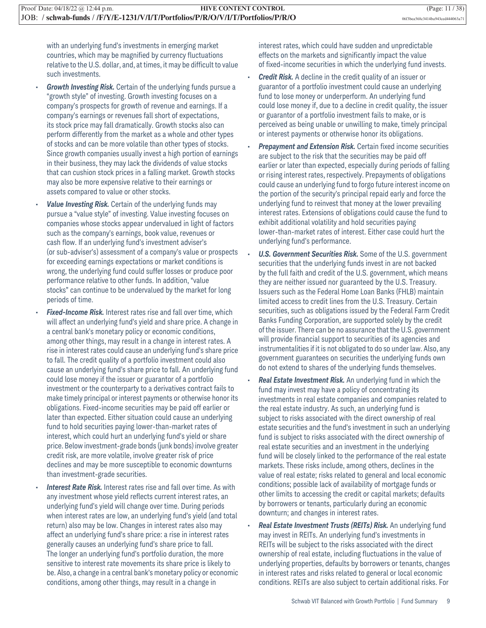with an underlying fund's investments in emerging market countries, which may be magnified by currency fluctuations relative to the U.S. dollar, and, at times, it may be difficult to value such investments.

- *Growth Investing Risk.* Certain of the underlying funds pursue a "growth style" of investing. Growth investing focuses on a company's prospects for growth of revenue and earnings. If a company's earnings or revenues fall short of expectations, its stock price may fall dramatically. Growth stocks also can perform differently from the market as a whole and other types of stocks and can be more volatile than other types of stocks. Since growth companies usually invest a high portion of earnings in their business, they may lack the dividends of value stocks that can cushion stock prices in a falling market. Growth stocks may also be more expensive relative to their earnings or assets compared to value or other stocks.
- Value Investing Risk. Certain of the underlying funds may pursue a "value style" of investing. Value investing focuses on companies whose stocks appear undervalued in light of factors such as the company's earnings, book value, revenues or cash flow. If an underlying fund's investment adviser's (or sub-adviser's) assessment of a company's value or prospects for exceeding earnings expectations or market conditions is wrong, the underlying fund could suffer losses or produce poor performance relative to other funds. In addition, "value stocks" can continue to be undervalued by the market for long periods of time.
- **Fixed-Income Risk.** Interest rates rise and fall over time, which will affect an underlying fund's yield and share price. A change in a central bank's monetary policy or economic conditions, among other things, may result in a change in interest rates. A rise in interest rates could cause an underlying fund's share price to fall. The credit quality of a portfolio investment could also cause an underlying fund's share price to fall. An underlying fund could lose money if the issuer or guarantor of a portfolio investment or the counterparty to a derivatives contract fails to make timely principal or interest payments or otherwise honor its obligations. Fixed-income securities may be paid off earlier or later than expected. Either situation could cause an underlying fund to hold securities paying lower-than-market rates of interest, which could hurt an underlying fund's yield or share price. Below investment-grade bonds (junk bonds) involve greater credit risk, are more volatile, involve greater risk of price declines and may be more susceptible to economic downturns than investment-grade securities.
- *Interest Rate Risk.* Interest rates rise and fall over time. As with any investment whose yield reflects current interest rates, an underlying fund's yield will change over time. During periods when interest rates are low, an underlying fund's yield (and total return) also may be low. Changes in interest rates also may affect an underlying fund's share price: a rise in interest rates generally causes an underlying fund's share price to fall. The longer an underlying fund's portfolio duration, the more sensitive to interest rate movements its share price is likely to be. Also, a change in a central bank's monetary policy or economic conditions, among other things, may result in a change in

interest rates, which could have sudden and unpredictable effects on the markets and significantly impact the value of fixed-income securities in which the underlying fund invests.

- *Credit Risk.* A decline in the credit quality of an issuer or guarantor of a portfolio investment could cause an underlying fund to lose money or underperform. An underlying fund could lose money if, due to a decline in credit quality, the issuer or guarantor of a portfolio investment fails to make, or is perceived as being unable or unwilling to make, timely principal or interest payments or otherwise honor its obligations.
- **Prepayment and Extension Risk.** Certain fixed income securities are subject to the risk that the securities may be paid off earlier or later than expected, especially during periods of falling or rising interest rates, respectively. Prepayments of obligations could cause an underlying fund to forgo future interest income on the portion of the security's principal repaid early and force the underlying fund to reinvest that money at the lower prevailing interest rates. Extensions of obligations could cause the fund to exhibit additional volatility and hold securities paying lower-than-market rates of interest. Either case could hurt the underlying fund's performance.
- *U.S. Government Securities Risk.* Some of the U.S. government securities that the underlying funds invest in are not backed by the full faith and credit of the U.S. government, which means they are neither issued nor guaranteed by the U.S. Treasury. Issuers such as the Federal Home Loan Banks (FHLB) maintain limited access to credit lines from the U.S. Treasury. Certain securities, such as obligations issued by the Federal Farm Credit Banks Funding Corporation, are supported solely by the credit of the issuer. There can be no assurance that the U.S. government will provide financial support to securities of its agencies and instrumentalities if it is not obligated to do so under law. Also, any government guarantees on securities the underlying funds own do not extend to shares of the underlying funds themselves.
- *Real Estate Investment Risk.* An underlying fund in which the fund may invest may have a policy of concentrating its investments in real estate companies and companies related to the real estate industry. As such, an underlying fund is subject to risks associated with the direct ownership of real estate securities and the fund's investment in such an underlying fund is subject to risks associated with the direct ownership of real estate securities and an investment in the underlying fund will be closely linked to the performance of the real estate markets. These risks include, among others, declines in the value of real estate; risks related to general and local economic conditions; possible lack of availability of mortgage funds or other limits to accessing the credit or capital markets; defaults by borrowers or tenants, particularly during an economic downturn; and changes in interest rates.
- *Real Estate Investment Trusts (REITs) Risk.* An underlying fund may invest in REITs. An underlying fund's investments in REITs will be subject to the risks associated with the direct ownership of real estate, including fluctuations in the value of underlying properties, defaults by borrowers or tenants, changes in interest rates and risks related to general or local economic conditions. REITs are also subject to certain additional risks. For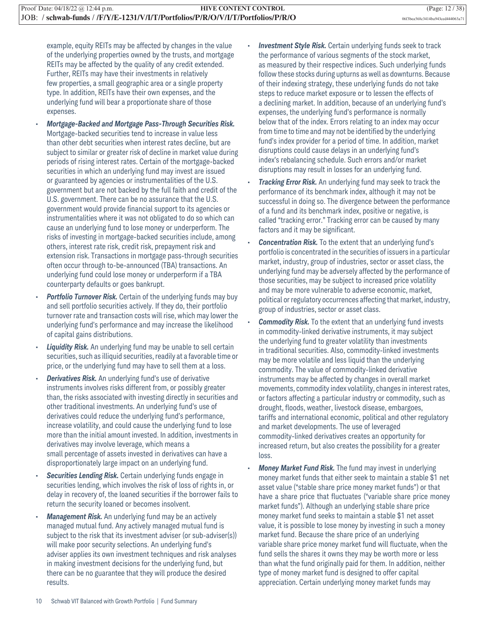example, equity REITs may be affected by changes in the value of the underlying properties owned by the trusts, and mortgage REITs may be affected by the quality of any credit extended. Further, REITs may have their investments in relatively few properties, a small geographic area or a single property type. In addition, REITs have their own expenses, and the underlying fund will bear a proportionate share of those expenses.

- *Mortgage-Backed and Mortgage Pass-Through Securities Risk.* Mortgage-backed securities tend to increase in value less than other debt securities when interest rates decline, but are subject to similar or greater risk of decline in market value during periods of rising interest rates. Certain of the mortgage-backed securities in which an underlying fund may invest are issued or guaranteed by agencies or instrumentalities of the U.S. government but are not backed by the full faith and credit of the U.S. government. There can be no assurance that the U.S. government would provide financial support to its agencies or instrumentalities where it was not obligated to do so which can cause an underlying fund to lose money or underperform. The risks of investing in mortgage-backed securities include, among others, interest rate risk, credit risk, prepayment risk and extension risk. Transactions in mortgage pass-through securities often occur through to-be-announced (TBA) transactions. An underlying fund could lose money or underperform if a TBA counterparty defaults or goes bankrupt.
- **Portfolio Turnover Risk.** Certain of the underlying funds may buy and sell portfolio securities actively. If they do, their portfolio turnover rate and transaction costs will rise, which may lower the underlying fund's performance and may increase the likelihood of capital gains distributions.
- **Liquidity Risk.** An underlying fund may be unable to sell certain securities, such as illiquid securities, readily at a favorable time or price, or the underlying fund may have to sell them at a loss.
- **Derivatives Risk.** An underlying fund's use of derivative instruments involves risks different from, or possibly greater than, the risks associated with investing directly in securities and other traditional investments. An underlying fund's use of derivatives could reduce the underlying fund's performance, increase volatility, and could cause the underlying fund to lose more than the initial amount invested. In addition, investments in derivatives may involve leverage, which means a small percentage of assets invested in derivatives can have a disproportionately large impact on an underlying fund.
- **Securities Lending Risk.** Certain underlying funds engage in securities lending, which involves the risk of loss of rights in, or delay in recovery of, the loaned securities if the borrower fails to return the security loaned or becomes insolvent.
- *Management Risk.* An underlying fund may be an actively managed mutual fund. Any actively managed mutual fund is subject to the risk that its investment adviser (or sub-adviser(s)) will make poor security selections. An underlying fund's adviser applies its own investment techniques and risk analyses in making investment decisions for the underlying fund, but there can be no guarantee that they will produce the desired results.
- **Investment Style Risk.** Certain underlying funds seek to track the performance of various segments of the stock market, as measured by their respective indices. Such underlying funds follow these stocks during upturns as well as downturns. Because of their indexing strategy, these underlying funds do not take steps to reduce market exposure or to lessen the effects of a declining market. In addition, because of an underlying fund's expenses, the underlying fund's performance is normally below that of the index. Errors relating to an index may occur from time to time and may not be identified by the underlying fund's index provider for a period of time. In addition, market disruptions could cause delays in an underlying fund's index's rebalancing schedule. Such errors and/or market disruptions may result in losses for an underlying fund.
- *Tracking Error Risk.* An underlying fund may seek to track the performance of its benchmark index, although it may not be successful in doing so. The divergence between the performance of a fund and its benchmark index, positive or negative, is called "tracking error." Tracking error can be caused by many factors and it may be significant.
- *Concentration Risk.* To the extent that an underlying fund's portfolio is concentrated in the securities of issuers in a particular market, industry, group of industries, sector or asset class, the underlying fund may be adversely affected by the performance of those securities, may be subject to increased price volatility and may be more vulnerable to adverse economic, market, political or regulatory occurrences affecting that market, industry, group of industries, sector or asset class.
- *Commodity Risk.* To the extent that an underlying fund invests in commodity-linked derivative instruments, it may subject the underlying fund to greater volatility than investments in traditional securities. Also, commodity-linked investments may be more volatile and less liquid than the underlying commodity. The value of commodity-linked derivative instruments may be affected by changes in overall market movements, commodity index volatility, changes in interest rates, or factors affecting a particular industry or commodity, such as drought, floods, weather, livestock disease, embargoes, tariffs and international economic, political and other regulatory and market developments. The use of leveraged commodity-linked derivatives creates an opportunity for increased return, but also creates the possibility for a greater loss.
- *Money Market Fund Risk.* The fund may invest in underlying money market funds that either seek to maintain a stable \$1 net asset value ("stable share price money market funds") or that have a share price that fluctuates ("variable share price money market funds"). Although an underlying stable share price money market fund seeks to maintain a stable \$1 net asset value, it is possible to lose money by investing in such a money market fund. Because the share price of an underlying variable share price money market fund will fluctuate, when the fund sells the shares it owns they may be worth more or less than what the fund originally paid for them. In addition, neither type of money market fund is designed to offer capital appreciation. Certain underlying money market funds may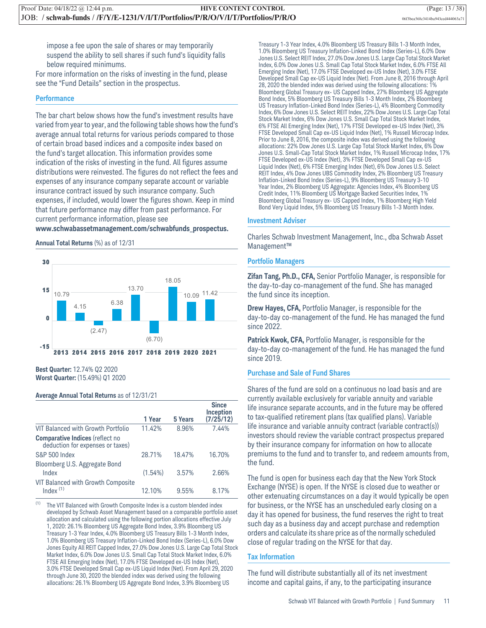impose a fee upon the sale of shares or may temporarily suspend the ability to sell shares if such fund's liquidity falls below required minimums.

For more information on the risks of investing in the fund, please see the "Fund Details" section in the prospectus.

#### **Performance**

The bar chart below shows how the fund's investment results have varied from year to year, and the following table shows how the fund's average annual total returns for various periods compared to those of certain broad based indices and a composite index based on the fund's target allocation. This information provides some indication of the risks of investing in the fund. All figures assume distributions were reinvested. The figures do not reflect the fees and expenses of any insurance company separate account or variable insurance contract issued by such insurance company. Such expenses, if included, would lower the figures shown. Keep in mind that future performance may differ from past performance. For current performance information, please see

#### **www.schwabassetmanagement.com/schwabfunds\_prospectus.**

#### **Annual Total Returns** (%) as of 12/31



**Best Quarter:** 12.74% Q2 2020 **Worst Quarter:** (15.49%) Q1 2020

#### **Average Annual Total Returns** as of 12/31/21

|                                                                            | 1 Year     | 5 Years | <b>Since</b><br>Inception<br>(7/25/12) |
|----------------------------------------------------------------------------|------------|---------|----------------------------------------|
| VIT Balanced with Growth Portfolio                                         | 11.42%     | 8.96%   | 7.44%                                  |
| <b>Comparative Indices (reflect no</b><br>deduction for expenses or taxes) |            |         |                                        |
| <b>S&amp;P 500 Index</b>                                                   | 28.71%     | 18.47%  | 16.70%                                 |
| Bloomberg U.S. Aggregate Bond<br>Index                                     | $(1.54\%)$ | 3.57%   | 2.66%                                  |
| VIT Balanced with Growth Composite<br>Index $(1)$                          | 12.10%     | 9.55%   | 8.17%                                  |

 $(1)$  The VIT Balanced with Growth Composite Index is a custom blended index developed by Schwab Asset Management based on a comparable portfolio asset allocation and calculated using the following portion allocations effective July 1, 2020: 26.1% Bloomberg US Aggregate Bond Index, 3.9% Bloomberg US Treasury 1-3 Year Index, 4.0% Bloomberg US Treasury Bills 1-3 Month Index, 1.0% Bloomberg US Treasury Inflation-Linked Bond Index (Series-L), 6.0% Dow Jones Equity All REIT Capped Index, 27.0% Dow Jones U.S. Large Cap Total Stock Market Index, 6.0% Dow Jones U.S. Small Cap Total Stock Market Index, 6.0% FTSE All Emerging Index (Net), 17.0% FTSE Developed ex-US Index (Net), 3.0% FTSE Developed Small Cap ex-US Liquid Index (Net). From April 29, 2020 through June 30, 2020 the blended index was derived using the following allocations: 26.1% Bloomberg US Aggregate Bond Index, 3.9% Bloomberg US

Treasury 1-3 Year Index, 4.0% Bloomberg US Treasury Bills 1-3 Month Index, 1.0% Bloomberg US Treasury Inflation-Linked Bond Index (Series-L), 6.0% Dow Jones U.S. Select REIT Index, 27.0% Dow Jones U.S. Large Cap Total Stock Market Index, 6.0% Dow Jones U.S. Small Cap Total Stock Market Index, 6.0% FTSE All Emerging Index (Net), 17.0% FTSE Developed ex-US Index (Net), 3.0% FTSE Developed Small Cap ex-US Liquid Index (Net). From June 8, 2016 through April 28, 2020 the blended index was derived using the following allocations: 1% Bloomberg Global Treasury ex- US Capped Index, 27% Bloomberg US Aggregate Bond Index, 5% Bloomberg US Treasury Bills 1-3 Month Index, 2% Bloomberg US Treasury Inflation-Linked Bond Index (Series-L), 4% Bloomberg Commodity Index, 6% Dow Jones U.S. Select REIT Index, 22% Dow Jones U.S. Large Cap Total Stock Market Index, 6% Dow Jones U.S. Small Cap Total Stock Market Index, 6% FTSE All Emerging Index (Net), 17% FTSE Developed ex-US Index (Net), 3% FTSE Developed Small Cap ex-US Liquid Index (Net), 1% Russell Microcap Index. Prior to June 8, 2016, the composite index was derived using the following allocations: 22% Dow Jones U.S. Large Cap Total Stock Market Index, 6% Dow Jones U.S. Small-Cap Total Stock Market Index, 1% Russell Microcap Index, 17% FTSE Developed ex-US Index (Net), 3% FTSE Developed Small Cap ex-US Liquid Index (Net), 6% FTSE Emerging Index (Net), 6% Dow Jones U.S. Select REIT Index, 4% Dow Jones UBS Commodity Index, 2% Bloomberg US Treasury Inflation-Linked Bond Index (Series-L), 9% Bloomberg US Treasury 3-10 Year Index, 2% Bloomberg US Aggregate: Agencies Index, 4% Bloomberg US Credit Index, 11% Bloomberg US Mortgage Backed Securities Index, 1% Bloomberg Global Treasury ex- US Capped Index, 1% Bloomberg High Yield Bond Very Liquid Index, 5% Bloomberg US Treasury Bills 1-3 Month Index.

#### **Investment Adviser**

Charles Schwab Investment Management, Inc., dba Schwab Asset Management™

#### **Portfolio Managers**

**Zifan Tang, Ph.D., CFA,** Senior Portfolio Manager, is responsible for the day-to-day co-management of the fund. She has managed the fund since its inception.

**Drew Hayes, CFA,** Portfolio Manager, is responsible for the day-to-day co-management of the fund. He has managed the fund since 2022.

**Patrick Kwok, CFA,** Portfolio Manager, is responsible for the day-to-day co-management of the fund. He has managed the fund since 2019.

#### **Purchase and Sale of Fund Shares**

Shares of the fund are sold on a continuous no load basis and are currently available exclusively for variable annuity and variable life insurance separate accounts, and in the future may be offered to tax-qualified retirement plans (tax qualified plans). Variable life insurance and variable annuity contract (variable contract(s)) investors should review the variable contract prospectus prepared by their insurance company for information on how to allocate premiums to the fund and to transfer to, and redeem amounts from, the fund.

The fund is open for business each day that the New York Stock Exchange (NYSE) is open. If the NYSE is closed due to weather or other extenuating circumstances on a day it would typically be open for business, or the NYSE has an unscheduled early closing on a day it has opened for business, the fund reserves the right to treat such day as a business day and accept purchase and redemption orders and calculate its share price as of the normally scheduled close of regular trading on the NYSE for that day.

#### **Tax Information**

The fund will distribute substantially all of its net investment income and capital gains, if any, to the participating insurance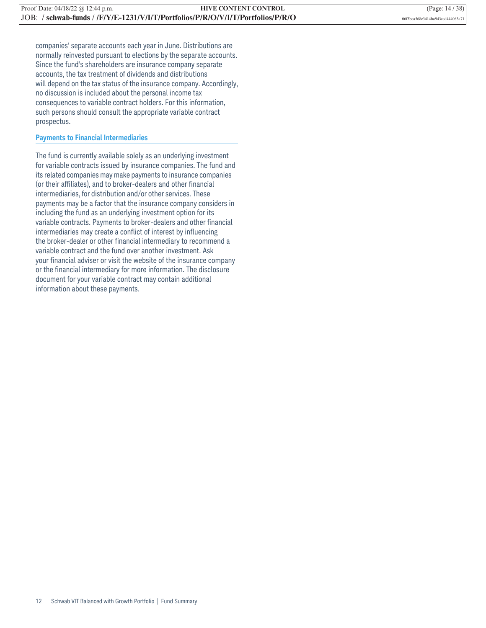companies' separate accounts each year in June. Distributions are normally reinvested pursuant to elections by the separate accounts. Since the fund's shareholders are insurance company separate accounts, the tax treatment of dividends and distributions will depend on the tax status of the insurance company. Accordingly, no discussion is included about the personal income tax consequences to variable contract holders. For this information, such persons should consult the appropriate variable contract prospectus.

#### **Payments to Financial Intermediaries**

The fund is currently available solely as an underlying investment for variable contracts issued by insurance companies. The fund and its related companies may make payments to insurance companies (or their affiliates), and to broker-dealers and other financial intermediaries, for distribution and/or other services. These payments may be a factor that the insurance company considers in including the fund as an underlying investment option for its variable contracts. Payments to broker-dealers and other financial intermediaries may create a conflict of interest by influencing the broker-dealer or other financial intermediary to recommend a variable contract and the fund over another investment. Ask your financial adviser or visit the website of the insurance company or the financial intermediary for more information. The disclosure document for your variable contract may contain additional information about these payments.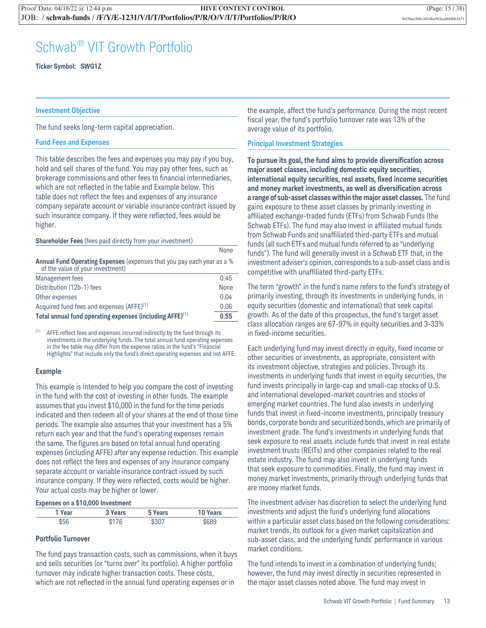### Schwab® VIT Growth Portfolio

**Ticker Symbol: SWG1Z**

#### **Investment Objective**

The fund seeks long-term capital appreciation.

#### **Fund Fees and Expenses**

This table describes the fees and expenses you may pay if you buy, hold and sell shares of the fund. You may pay other fees, such as brokerage commissions and other fees to financial intermediaries, which are not reflected in the table and Example below. This table does not reflect the fees and expenses of any insurance company separate account or variable insurance contract issued by such insurance company. If they were reflected, fees would be higher.

#### **Shareholder Fees** (fees paid directly from your investment)

|                                                                                                            | <b>None</b> |
|------------------------------------------------------------------------------------------------------------|-------------|
| Annual Fund Operating Expenses (expenses that you pay each year as a %<br>of the value of your investment) |             |
| Management fees                                                                                            | 0.45        |
| Distribution (12b-1) fees                                                                                  | None        |
| Other expenses                                                                                             | 0.04        |
| Acquired fund fees and expenses (AFFE) <sup>(1)</sup>                                                      | 0.06        |
| Total annual fund operating expenses (including AFFE) <sup>(1)</sup>                                       | 0.55        |

 $(1)$  AFFE reflect fees and expenses incurred indirectly by the fund through its investments in the underlying funds. The total annual fund operating expenses in the fee table may differ from the expense ratios in the fund's "Financial Highlights" that include only the fund's direct operating expenses and not AFFE.

#### **Example**

This example is intended to help you compare the cost of investing in the fund with the cost of investing in other funds. The example assumes that you invest \$10,000 in the fund for the time periods indicated and then redeem all of your shares at the end of those time periods. The example also assumes that your investment has a 5% return each year and that the fund's operating expenses remain the same. The figures are based on total annual fund operating expenses (including AFFE) after any expense reduction. This example does not reflect the fees and expenses of any insurance company separate account or variable insurance contract issued by such insurance company. If they were reflected, costs would be higher. Your actual costs may be higher or lower.

#### **Expenses on a \$10,000 Investment**

| 1 Year | 3 Years | 5 Years | <b>10 Years</b> |  |
|--------|---------|---------|-----------------|--|
| \$56   | \$176   | \$307   | \$689           |  |

#### **Portfolio Turnover**

The fund pays transaction costs, such as commissions, when it buys and sells securities (or "turns over" its portfolio). A higher portfolio turnover may indicate higher transaction costs. These costs, which are not reflected in the annual fund operating expenses or in

the example, affect the fund's performance. During the most recent fiscal year, the fund's portfolio turnover rate was 13% of the average value of its portfolio.

#### **Principal Investment Strategies**

None

**To pursue its goal, the fund aims to provide diversification across major asset classes, including domestic equity securities, international equity securities, real assets, fixed income securities and money market investments, as well as diversification across a range of sub-asset classes within the major asset classes.** The fund gains exposure to these asset classes by primarily investing in affiliated exchange-traded funds (ETFs) from Schwab Funds (the Schwab ETFs). The fund may also invest in affiliated mutual funds from Schwab Funds and unaffiliated third-party ETFs and mutual funds (all such ETFs and mutual funds referred to as "underlying funds"). The fund will generally invest in a Schwab ETF that, in the investment adviser's opinion, corresponds to a sub-asset class and is competitive with unaffiliated third-party ETFs.

The term "growth" in the fund's name refers to the fund's strategy of primarily investing, through its investments in underlying funds, in equity securities (domestic and international) that seek capital growth. As of the date of this prospectus, the fund's target asset class allocation ranges are 67-97% in equity securities and 3-33% in fixed-income securities.

Each underlying fund may invest directly in equity, fixed income or other securities or investments, as appropriate, consistent with its investment objective, strategies and policies. Through its investments in underlying funds that invest in equity securities, the fund invests principally in large-cap and small-cap stocks of U.S. and international developed-market countries and stocks of emerging market countries. The fund also invests in underlying funds that invest in fixed-income investments, principally treasury bonds, corporate bonds and securitized bonds, which are primarily of investment grade. The fund's investments in underlying funds that seek exposure to real assets include funds that invest in real estate investment trusts (REITs) and other companies related to the real estate industry. The fund may also invest in underlying funds that seek exposure to commodities. Finally, the fund may invest in money market investments, primarily through underlying funds that are money market funds.

The investment adviser has discretion to select the underlying fund investments and adjust the fund's underlying fund allocations within a particular asset class based on the following considerations: market trends, its outlook for a given market capitalization and sub-asset class, and the underlying funds' performance in various market conditions.

The fund intends to invest in a combination of underlying funds; however, the fund may invest directly in securities represented in the major asset classes noted above. The fund may invest in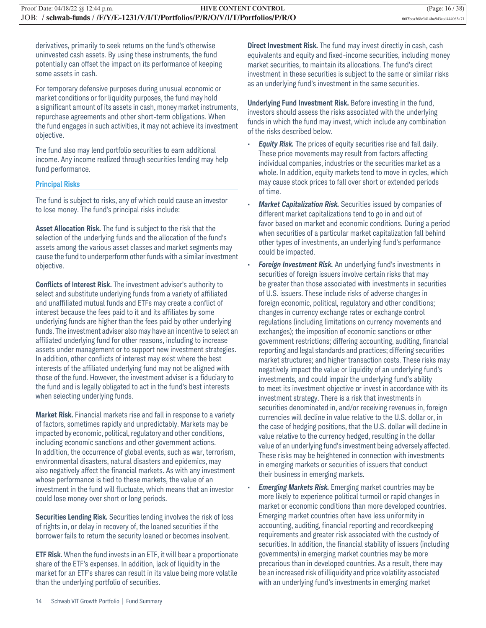derivatives, primarily to seek returns on the fund's otherwise uninvested cash assets. By using these instruments, the fund potentially can offset the impact on its performance of keeping some assets in cash.

For temporary defensive purposes during unusual economic or market conditions or for liquidity purposes, the fund may hold a significant amount of its assets in cash, money market instruments, repurchase agreements and other short-term obligations. When the fund engages in such activities, it may not achieve its investment objective.

The fund also may lend portfolio securities to earn additional income. Any income realized through securities lending may help fund performance.

#### **Principal Risks**

The fund is subject to risks, any of which could cause an investor to lose money. The fund's principal risks include:

**Asset Allocation Risk.** The fund is subject to the risk that the selection of the underlying funds and the allocation of the fund's assets among the various asset classes and market segments may cause the fund to underperform other funds with a similar investment objective.

**Conflicts of Interest Risk.** The investment adviser's authority to select and substitute underlying funds from a variety of affiliated and unaffiliated mutual funds and ETFs may create a conflict of interest because the fees paid to it and its affiliates by some underlying funds are higher than the fees paid by other underlying funds. The investment adviser also may have an incentive to select an affiliated underlying fund for other reasons, including to increase assets under management or to support new investment strategies. In addition, other conflicts of interest may exist where the best interests of the affiliated underlying fund may not be aligned with those of the fund. However, the investment adviser is a fiduciary to the fund and is legally obligated to act in the fund's best interests when selecting underlying funds.

**Market Risk.** Financial markets rise and fall in response to a variety of factors, sometimes rapidly and unpredictably. Markets may be impacted by economic, political, regulatory and other conditions, including economic sanctions and other government actions. In addition, the occurrence of global events, such as war, terrorism, environmental disasters, natural disasters and epidemics, may also negatively affect the financial markets. As with any investment whose performance is tied to these markets, the value of an investment in the fund will fluctuate, which means that an investor could lose money over short or long periods.

**Securities Lending Risk.** Securities lending involves the risk of loss of rights in, or delay in recovery of, the loaned securities if the borrower fails to return the security loaned or becomes insolvent.

**ETF Risk.** When the fund invests in an ETF, it will bear a proportionate share of the ETF's expenses. In addition, lack of liquidity in the market for an ETF's shares can result in its value being more volatile than the underlying portfolio of securities.

**Direct Investment Risk.** The fund may invest directly in cash, cash equivalents and equity and fixed-income securities, including money market securities, to maintain its allocations. The fund's direct investment in these securities is subject to the same or similar risks as an underlying fund's investment in the same securities.

**Underlying Fund Investment Risk.** Before investing in the fund, investors should assess the risks associated with the underlying funds in which the fund may invest, which include any combination of the risks described below.

- *Equity Risk.* The prices of equity securities rise and fall daily. These price movements may result from factors affecting individual companies, industries or the securities market as a whole. In addition, equity markets tend to move in cycles, which may cause stock prices to fall over short or extended periods of time.
- *Market Capitalization Risk.* Securities issued by companies of different market capitalizations tend to go in and out of favor based on market and economic conditions. During a period when securities of a particular market capitalization fall behind other types of investments, an underlying fund's performance could be impacted.
- *Foreign Investment Risk.* An underlying fund's investments in securities of foreign issuers involve certain risks that may be greater than those associated with investments in securities of U.S. issuers. These include risks of adverse changes in foreign economic, political, regulatory and other conditions; changes in currency exchange rates or exchange control regulations (including limitations on currency movements and exchanges); the imposition of economic sanctions or other government restrictions; differing accounting, auditing, financial reporting and legal standards and practices; differing securities market structures; and higher transaction costs. These risks may negatively impact the value or liquidity of an underlying fund's investments, and could impair the underlying fund's ability to meet its investment objective or invest in accordance with its investment strategy. There is a risk that investments in securities denominated in, and/or receiving revenues in, foreign currencies will decline in value relative to the U.S. dollar or, in the case of hedging positions, that the U.S. dollar will decline in value relative to the currency hedged, resulting in the dollar value of an underlying fund's investment being adversely affected. These risks may be heightened in connection with investments in emerging markets or securities of issuers that conduct their business in emerging markets.
- *Emerging Markets Risk.* Emerging market countries may be more likely to experience political turmoil or rapid changes in market or economic conditions than more developed countries. Emerging market countries often have less uniformity in accounting, auditing, financial reporting and recordkeeping requirements and greater risk associated with the custody of securities. In addition, the financial stability of issuers (including governments) in emerging market countries may be more precarious than in developed countries. As a result, there may be an increased risk of illiquidity and price volatility associated with an underlying fund's investments in emerging market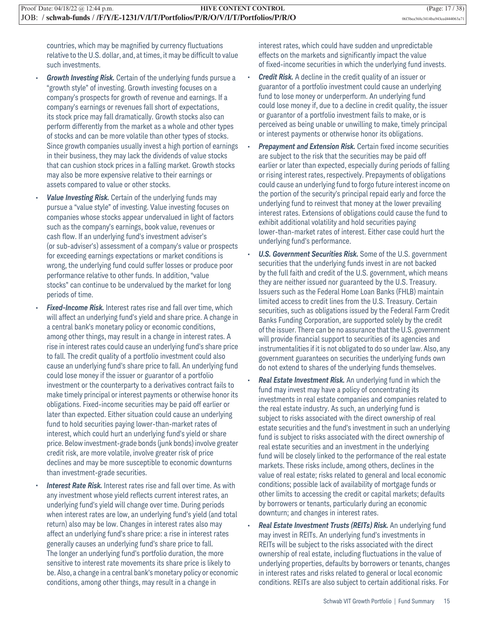countries, which may be magnified by currency fluctuations relative to the U.S. dollar, and, at times, it may be difficult to value such investments.

- *Growth Investing Risk.* Certain of the underlying funds pursue a "growth style" of investing. Growth investing focuses on a company's prospects for growth of revenue and earnings. If a company's earnings or revenues fall short of expectations, its stock price may fall dramatically. Growth stocks also can perform differently from the market as a whole and other types of stocks and can be more volatile than other types of stocks. Since growth companies usually invest a high portion of earnings in their business, they may lack the dividends of value stocks that can cushion stock prices in a falling market. Growth stocks may also be more expensive relative to their earnings or assets compared to value or other stocks.
- **Value Investing Risk.** Certain of the underlying funds may pursue a "value style" of investing. Value investing focuses on companies whose stocks appear undervalued in light of factors such as the company's earnings, book value, revenues or cash flow. If an underlying fund's investment adviser's (or sub-adviser's) assessment of a company's value or prospects for exceeding earnings expectations or market conditions is wrong, the underlying fund could suffer losses or produce poor performance relative to other funds. In addition, "value stocks" can continue to be undervalued by the market for long periods of time.
- **Fixed-Income Risk.** Interest rates rise and fall over time, which will affect an underlying fund's yield and share price. A change in a central bank's monetary policy or economic conditions, among other things, may result in a change in interest rates. A rise in interest rates could cause an underlying fund's share price to fall. The credit quality of a portfolio investment could also cause an underlying fund's share price to fall. An underlying fund could lose money if the issuer or guarantor of a portfolio investment or the counterparty to a derivatives contract fails to make timely principal or interest payments or otherwise honor its obligations. Fixed-income securities may be paid off earlier or later than expected. Either situation could cause an underlying fund to hold securities paying lower-than-market rates of interest, which could hurt an underlying fund's yield or share price. Below investment-grade bonds (junk bonds) involve greater credit risk, are more volatile, involve greater risk of price declines and may be more susceptible to economic downturns than investment-grade securities.
- **Interest Rate Risk.** Interest rates rise and fall over time. As with any investment whose yield reflects current interest rates, an underlying fund's yield will change over time. During periods when interest rates are low, an underlying fund's yield (and total return) also may be low. Changes in interest rates also may affect an underlying fund's share price: a rise in interest rates generally causes an underlying fund's share price to fall. The longer an underlying fund's portfolio duration, the more sensitive to interest rate movements its share price is likely to be. Also, a change in a central bank's monetary policy or economic conditions, among other things, may result in a change in

interest rates, which could have sudden and unpredictable effects on the markets and significantly impact the value of fixed-income securities in which the underlying fund invests.

- *Credit Risk.* A decline in the credit quality of an issuer or guarantor of a portfolio investment could cause an underlying fund to lose money or underperform. An underlying fund could lose money if, due to a decline in credit quality, the issuer or guarantor of a portfolio investment fails to make, or is perceived as being unable or unwilling to make, timely principal or interest payments or otherwise honor its obligations.
- **Prepayment and Extension Risk.** Certain fixed income securities are subject to the risk that the securities may be paid off earlier or later than expected, especially during periods of falling or rising interest rates, respectively. Prepayments of obligations could cause an underlying fund to forgo future interest income on the portion of the security's principal repaid early and force the underlying fund to reinvest that money at the lower prevailing interest rates. Extensions of obligations could cause the fund to exhibit additional volatility and hold securities paying lower-than-market rates of interest. Either case could hurt the underlying fund's performance.
- *U.S. Government Securities Risk.* Some of the U.S. government securities that the underlying funds invest in are not backed by the full faith and credit of the U.S. government, which means they are neither issued nor guaranteed by the U.S. Treasury. Issuers such as the Federal Home Loan Banks (FHLB) maintain limited access to credit lines from the U.S. Treasury. Certain securities, such as obligations issued by the Federal Farm Credit Banks Funding Corporation, are supported solely by the credit of the issuer. There can be no assurance that the U.S. government will provide financial support to securities of its agencies and instrumentalities if it is not obligated to do so under law. Also, any government guarantees on securities the underlying funds own do not extend to shares of the underlying funds themselves.
- *Real Estate Investment Risk.* An underlying fund in which the fund may invest may have a policy of concentrating its investments in real estate companies and companies related to the real estate industry. As such, an underlying fund is subject to risks associated with the direct ownership of real estate securities and the fund's investment in such an underlying fund is subject to risks associated with the direct ownership of real estate securities and an investment in the underlying fund will be closely linked to the performance of the real estate markets. These risks include, among others, declines in the value of real estate; risks related to general and local economic conditions; possible lack of availability of mortgage funds or other limits to accessing the credit or capital markets; defaults by borrowers or tenants, particularly during an economic downturn; and changes in interest rates.
- *Real Estate Investment Trusts (REITs) Risk.* An underlying fund may invest in REITs. An underlying fund's investments in REITs will be subject to the risks associated with the direct ownership of real estate, including fluctuations in the value of underlying properties, defaults by borrowers or tenants, changes in interest rates and risks related to general or local economic conditions. REITs are also subject to certain additional risks. For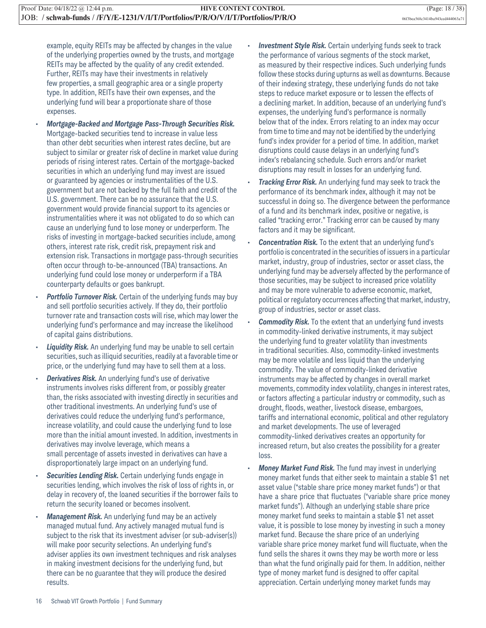example, equity REITs may be affected by changes in the value of the underlying properties owned by the trusts, and mortgage REITs may be affected by the quality of any credit extended. Further, REITs may have their investments in relatively few properties, a small geographic area or a single property type. In addition, REITs have their own expenses, and the underlying fund will bear a proportionate share of those expenses.

- *Mortgage-Backed and Mortgage Pass-Through Securities Risk.* Mortgage-backed securities tend to increase in value less than other debt securities when interest rates decline, but are subject to similar or greater risk of decline in market value during periods of rising interest rates. Certain of the mortgage-backed securities in which an underlying fund may invest are issued or guaranteed by agencies or instrumentalities of the U.S. government but are not backed by the full faith and credit of the U.S. government. There can be no assurance that the U.S. government would provide financial support to its agencies or instrumentalities where it was not obligated to do so which can cause an underlying fund to lose money or underperform. The risks of investing in mortgage-backed securities include, among others, interest rate risk, credit risk, prepayment risk and extension risk. Transactions in mortgage pass-through securities often occur through to-be-announced (TBA) transactions. An underlying fund could lose money or underperform if a TBA counterparty defaults or goes bankrupt.
- **Portfolio Turnover Risk.** Certain of the underlying funds may buy and sell portfolio securities actively. If they do, their portfolio turnover rate and transaction costs will rise, which may lower the underlying fund's performance and may increase the likelihood of capital gains distributions.
- **Liquidity Risk.** An underlying fund may be unable to sell certain securities, such as illiquid securities, readily at a favorable time or price, or the underlying fund may have to sell them at a loss.
- **Derivatives Risk.** An underlying fund's use of derivative instruments involves risks different from, or possibly greater than, the risks associated with investing directly in securities and other traditional investments. An underlying fund's use of derivatives could reduce the underlying fund's performance, increase volatility, and could cause the underlying fund to lose more than the initial amount invested. In addition, investments in derivatives may involve leverage, which means a small percentage of assets invested in derivatives can have a disproportionately large impact on an underlying fund.
- **Securities Lending Risk.** Certain underlying funds engage in securities lending, which involves the risk of loss of rights in, or delay in recovery of, the loaned securities if the borrower fails to return the security loaned or becomes insolvent.
- *Management Risk.* An underlying fund may be an actively managed mutual fund. Any actively managed mutual fund is subject to the risk that its investment adviser (or sub-adviser(s)) will make poor security selections. An underlying fund's adviser applies its own investment techniques and risk analyses in making investment decisions for the underlying fund, but there can be no guarantee that they will produce the desired results.
- **Investment Style Risk.** Certain underlying funds seek to track the performance of various segments of the stock market, as measured by their respective indices. Such underlying funds follow these stocks during upturns as well as downturns. Because of their indexing strategy, these underlying funds do not take steps to reduce market exposure or to lessen the effects of a declining market. In addition, because of an underlying fund's expenses, the underlying fund's performance is normally below that of the index. Errors relating to an index may occur from time to time and may not be identified by the underlying fund's index provider for a period of time. In addition, market disruptions could cause delays in an underlying fund's index's rebalancing schedule. Such errors and/or market disruptions may result in losses for an underlying fund.
- *Tracking Error Risk.* An underlying fund may seek to track the performance of its benchmark index, although it may not be successful in doing so. The divergence between the performance of a fund and its benchmark index, positive or negative, is called "tracking error." Tracking error can be caused by many factors and it may be significant.
- *Concentration Risk.* To the extent that an underlying fund's portfolio is concentrated in the securities of issuers in a particular market, industry, group of industries, sector or asset class, the underlying fund may be adversely affected by the performance of those securities, may be subject to increased price volatility and may be more vulnerable to adverse economic, market, political or regulatory occurrences affecting that market, industry, group of industries, sector or asset class.
- *Commodity Risk.* To the extent that an underlying fund invests in commodity-linked derivative instruments, it may subject the underlying fund to greater volatility than investments in traditional securities. Also, commodity-linked investments may be more volatile and less liquid than the underlying commodity. The value of commodity-linked derivative instruments may be affected by changes in overall market movements, commodity index volatility, changes in interest rates, or factors affecting a particular industry or commodity, such as drought, floods, weather, livestock disease, embargoes, tariffs and international economic, political and other regulatory and market developments. The use of leveraged commodity-linked derivatives creates an opportunity for increased return, but also creates the possibility for a greater loss.
- *Money Market Fund Risk.* The fund may invest in underlying money market funds that either seek to maintain a stable \$1 net asset value ("stable share price money market funds") or that have a share price that fluctuates ("variable share price money market funds"). Although an underlying stable share price money market fund seeks to maintain a stable \$1 net asset value, it is possible to lose money by investing in such a money market fund. Because the share price of an underlying variable share price money market fund will fluctuate, when the fund sells the shares it owns they may be worth more or less than what the fund originally paid for them. In addition, neither type of money market fund is designed to offer capital appreciation. Certain underlying money market funds may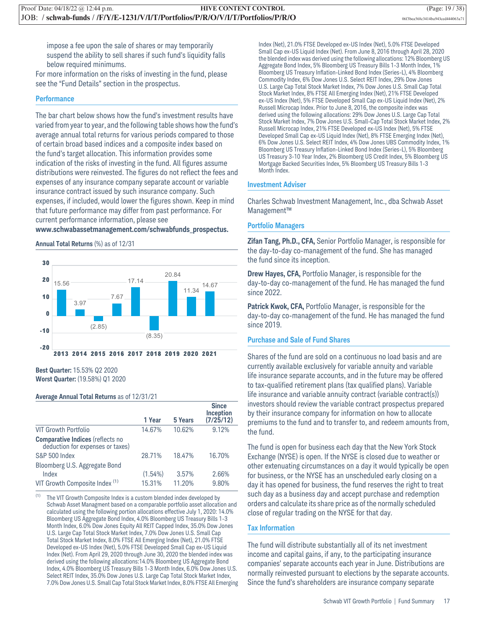impose a fee upon the sale of shares or may temporarily suspend the ability to sell shares if such fund's liquidity falls below required minimums.

For more information on the risks of investing in the fund, please see the "Fund Details" section in the prospectus.

#### **Performance**

The bar chart below shows how the fund's investment results have varied from year to year, and the following table shows how the fund's average annual total returns for various periods compared to those of certain broad based indices and a composite index based on the fund's target allocation. This information provides some indication of the risks of investing in the fund. All figures assume distributions were reinvested. The figures do not reflect the fees and expenses of any insurance company separate account or variable insurance contract issued by such insurance company. Such expenses, if included, would lower the figures shown. Keep in mind that future performance may differ from past performance. For current performance information, please see

#### **www.schwabassetmanagement.com/schwabfunds\_prospectus.**

#### **Annual Total Returns** (%) as of 12/31



**Best Quarter:** 15.53% Q2 2020 **Worst Quarter:** (19.58%) Q1 2020

#### **Average Annual Total Returns** as of 12/31/21

|                                                                             | 1 Year     | <b>5 Years</b> | <b>Since</b><br>Inception<br>$(7/2\overline{5}/12)$ |
|-----------------------------------------------------------------------------|------------|----------------|-----------------------------------------------------|
| <b>VIT Growth Portfolio</b>                                                 | 14.67%     | 10.62%         | 9.12%                                               |
| <b>Comparative Indices (reflects no</b><br>deduction for expenses or taxes) |            |                |                                                     |
| <b>S&amp;P 500 Index</b>                                                    | 28.71%     | 18.47%         | 16.70%                                              |
| Bloomberg U.S. Aggregate Bond                                               |            |                |                                                     |
| Index                                                                       | $(1.54\%)$ | 3.57%          | 2.66%                                               |
| VIT Growth Composite Index <sup>(1)</sup>                                   | 15.31%     | 11.20%         | 9.80%                                               |
|                                                                             |            |                |                                                     |

(1) The VIT Growth Composite Index is a custom blended index developed by Schwab Asset Managment based on a comparable portfolio asset allocation and calculated using the following portion allocations effective July 1, 2020: 14.0% Bloomberg US Aggregate Bond Index, 4.0% Bloomberg US Treasury Bills 1-3 Month Index, 6.0% Dow Jones Equity All REIT Capped Index, 35.0% Dow Jones U.S. Large Cap Total Stock Market Index, 7.0% Dow Jones U.S. Small Cap Total Stock Market Index, 8.0% FTSE All Emerging Index (Net), 21.0% FTSE Developed ex-US Index (Net), 5.0% FTSE Developed Small Cap ex-US Liquid Index (Net). From April 29, 2020 through June 30, 2020 the blended index was derived using the following allocations:14.0% Bloomberg US Aggregate Bond Index, 4.0% Bloomberg US Treasury Bills 1-3 Month Index, 6.0% Dow Jones U.S. Select REIT Index, 35.0% Dow Jones U.S. Large Cap Total Stock Market Index, 7.0% Dow Jones U.S. Small Cap Total Stock Market Index, 8.0% FTSE All Emerging Index (Net), 21.0% FTSE Developed ex-US Index (Net), 5.0% FTSE Developed Small Cap ex-US Liquid Index (Net). From June 8, 2016 through April 28, 2020 the blended index was derived using the following allocations: 12% Bloomberg US Aggregate Bond Index, 5% Bloomberg US Treasury Bills 1-3 Month Index, 1% Bloomberg US Treasury Inflation-Linked Bond Index (Series-L), 4% Bloomberg Commodity Index, 6% Dow Jones U.S. Select REIT Index, 29% Dow Jones U.S. Large Cap Total Stock Market Index, 7% Dow Jones U.S. Small Cap Total Stock Market Index, 8% FTSE All Emerging Index (Net), 21% FTSE Developed ex-US Index (Net), 5% FTSE Developed Small Cap ex-US Liquid Index (Net), 2% Russell Microcap Index. Prior to June 8, 2016, the composite index was derived using the following allocations: 29% Dow Jones U.S. Large Cap Total Stock Market Index, 7% Dow Jones U.S. Small-Cap Total Stock Market Index, 2% Russell Microcap Index, 21% FTSE Developed ex-US Index (Net), 5% FTSE Developed Small Cap ex-US Liquid Index (Net), 8% FTSE Emerging Index (Net), 6% Dow Jones U.S. Select REIT Index, 4% Dow Jones UBS Commodity Index, 1% Bloomberg US Treasury Inflation-Linked Bond Index (Series-L), 5% Bloomberg US Treasury 3-10 Year Index, 2% Bloomberg US Credit Index, 5% Bloomberg US Mortgage Backed Securities Index, 5% Bloomberg US Treasury Bills 1-3 Month Index.

#### **Investment Adviser**

Charles Schwab Investment Management, Inc., dba Schwab Asset Management™

#### **Portfolio Managers**

**Zifan Tang, Ph.D., CFA,** Senior Portfolio Manager, is responsible for the day-to-day co-management of the fund. She has managed the fund since its inception.

**Drew Hayes, CFA,** Portfolio Manager, is responsible for the day-to-day co-management of the fund. He has managed the fund since 2022.

**Patrick Kwok, CFA,** Portfolio Manager, is responsible for the day-to-day co-management of the fund. He has managed the fund since 2019.

#### **Purchase and Sale of Fund Shares**

Shares of the fund are sold on a continuous no load basis and are currently available exclusively for variable annuity and variable life insurance separate accounts, and in the future may be offered to tax-qualified retirement plans (tax qualified plans). Variable life insurance and variable annuity contract (variable contract(s)) investors should review the variable contract prospectus prepared by their insurance company for information on how to allocate premiums to the fund and to transfer to, and redeem amounts from, the fund.

The fund is open for business each day that the New York Stock Exchange (NYSE) is open. If the NYSE is closed due to weather or other extenuating circumstances on a day it would typically be open for business, or the NYSE has an unscheduled early closing on a day it has opened for business, the fund reserves the right to treat such day as a business day and accept purchase and redemption orders and calculate its share price as of the normally scheduled close of regular trading on the NYSE for that day.

#### **Tax Information**

The fund will distribute substantially all of its net investment income and capital gains, if any, to the participating insurance companies' separate accounts each year in June. Distributions are normally reinvested pursuant to elections by the separate accounts. Since the fund's shareholders are insurance company separate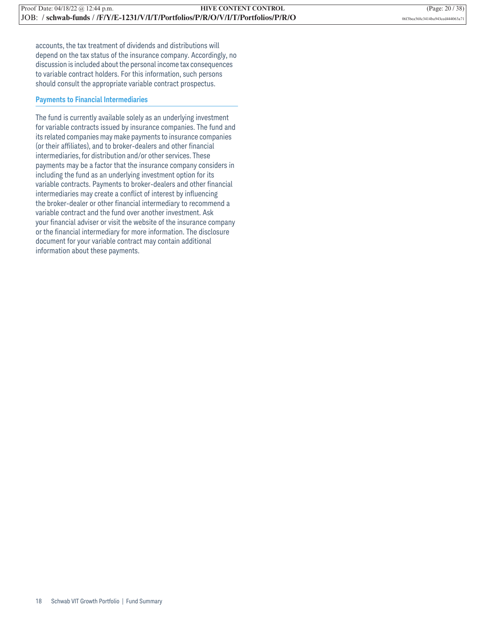accounts, the tax treatment of dividends and distributions will depend on the tax status of the insurance company. Accordingly, no discussion is included about the personal income tax consequences to variable contract holders. For this information, such persons should consult the appropriate variable contract prospectus.

#### **Payments to Financial Intermediaries**

The fund is currently available solely as an underlying investment for variable contracts issued by insurance companies. The fund and its related companies may make payments to insurance companies (or their affiliates), and to broker-dealers and other financial intermediaries, for distribution and/or other services. These payments may be a factor that the insurance company considers in including the fund as an underlying investment option for its variable contracts. Payments to broker-dealers and other financial intermediaries may create a conflict of interest by influencing the broker-dealer or other financial intermediary to recommend a variable contract and the fund over another investment. Ask your financial adviser or visit the website of the insurance company or the financial intermediary for more information. The disclosure document for your variable contract may contain additional information about these payments.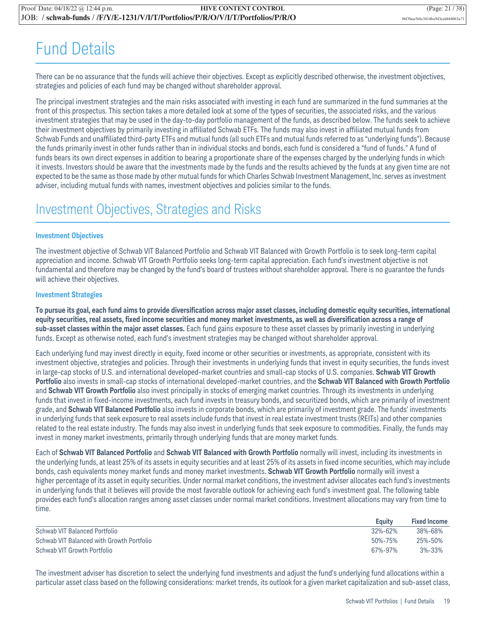## Fund Details

There can be no assurance that the funds will achieve their objectives. Except as explicitly described otherwise, the investment objectives, strategies and policies of each fund may be changed without shareholder approval.

The principal investment strategies and the main risks associated with investing in each fund are summarized in the fund summaries at the front of this prospectus. This section takes a more detailed look at some of the types of securities, the associated risks, and the various investment strategies that may be used in the day-to-day portfolio management of the funds, as described below. The funds seek to achieve their investment objectives by primarily investing in affiliated Schwab ETFs. The funds may also invest in affiliated mutual funds from Schwab Funds and unaffiliated third-party ETFs and mutual funds (all such ETFs and mutual funds referred to as "underlying funds"). Because the funds primarily invest in other funds rather than in individual stocks and bonds, each fund is considered a "fund of funds." A fund of funds bears its own direct expenses in addition to bearing a proportionate share of the expenses charged by the underlying funds in which it invests. Investors should be aware that the investments made by the funds and the results achieved by the funds at any given time are not expected to be the same as those made by other mutual funds for which Charles Schwab Investment Management, Inc. serves as investment adviser, including mutual funds with names, investment objectives and policies similar to the funds.

### Investment Objectives, Strategies and Risks

#### **Investment Objectives**

The investment objective of Schwab VIT Balanced Portfolio and Schwab VIT Balanced with Growth Portfolio is to seek long-term capital appreciation and income. Schwab VIT Growth Portfolio seeks long-term capital appreciation. Each fund's investment objective is not fundamental and therefore may be changed by the fund's board of trustees without shareholder approval. There is no guarantee the funds will achieve their objectives.

#### **Investment Strategies**

**To pursue its goal, each fund aims to provide diversification across major asset classes, including domestic equity securities, international equity securities, real assets, fixed income securities and money market investments, as well as diversification across a range of sub-asset classes within the major asset classes.** Each fund gains exposure to these asset classes by primarily investing in underlying funds. Except as otherwise noted, each fund's investment strategies may be changed without shareholder approval.

Each underlying fund may invest directly in equity, fixed income or other securities or investments, as appropriate, consistent with its investment objective, strategies and policies. Through their investments in underlying funds that invest in equity securities, the funds invest in large-cap stocks of U.S. and international developed-market countries and small-cap stocks of U.S. companies. **Schwab VIT Growth Portfolio** also invests in small-cap stocks of international developed-market countries, and the **Schwab VIT Balanced with Growth Portfolio** and **Schwab VIT Growth Portfolio** also invest principally in stocks of emerging market countries. Through its investments in underlying funds that invest in fixed-income investments, each fund invests in treasury bonds, and securitized bonds, which are primarily of investment grade, and **Schwab VIT Balanced Portfolio** also invests in corporate bonds, which are primarily of investment grade. The funds' investments in underlying funds that seek exposure to real assets include funds that invest in real estate investment trusts (REITs) and other companies related to the real estate industry. The funds may also invest in underlying funds that seek exposure to commodities. Finally, the funds may invest in money market investments, primarily through underlying funds that are money market funds.

Each of **Schwab VIT Balanced Portfolio** and **Schwab VIT Balanced with Growth Portfolio** normally will invest, including its investments in the underlying funds, at least 25% of its assets in equity securities and at least 25% of its assets in fixed income securities, which may include bonds, cash equivalents money market funds and money market investments. **Schwab VIT Growth Portfolio** normally will invest a higher percentage of its asset in equity securities. Under normal market conditions, the investment adviser allocates each fund's investments in underlying funds that it believes will provide the most favorable outlook for achieving each fund's investment goal. The following table provides each fund's allocation ranges among asset classes under normal market conditions. Investment allocations may vary from time to time.

|                                           | Eauity        | <b>Fixed Income</b> |
|-------------------------------------------|---------------|---------------------|
| Schwab VIT Balanced Portfolio             | $32\% - 62\%$ | 38%-68%             |
| Schwab VIT Balanced with Growth Portfolio | $50\% - 75\%$ | 25%-50%             |
| Schwab VIT Growth Portfolio               | 67%-97%       | $3\% - 33\%$        |

The investment adviser has discretion to select the underlying fund investments and adjust the fund's underlying fund allocations within a particular asset class based on the following considerations: market trends, its outlook for a given market capitalization and sub-asset class,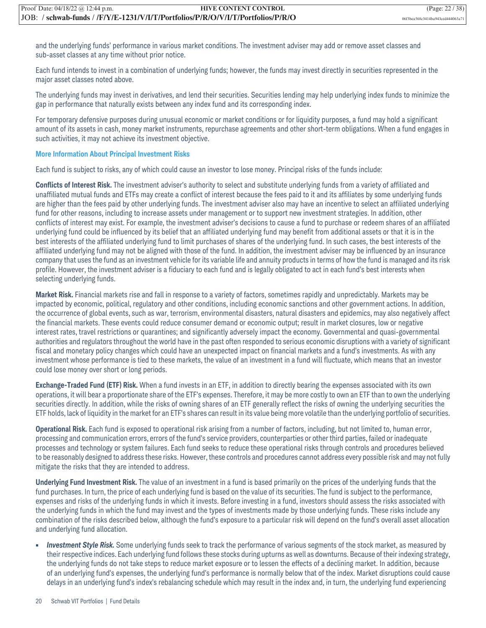and the underlying funds' performance in various market conditions. The investment adviser may add or remove asset classes and sub-asset classes at any time without prior notice.

Each fund intends to invest in a combination of underlying funds; however, the funds may invest directly in securities represented in the major asset classes noted above.

The underlying funds may invest in derivatives, and lend their securities. Securities lending may help underlying index funds to minimize the gap in performance that naturally exists between any index fund and its corresponding index.

For temporary defensive purposes during unusual economic or market conditions or for liquidity purposes, a fund may hold a significant amount of its assets in cash, money market instruments, repurchase agreements and other short-term obligations. When a fund engages in such activities, it may not achieve its investment objective.

#### **More Information About Principal Investment Risks**

Each fund is subject to risks, any of which could cause an investor to lose money. Principal risks of the funds include:

**Conflicts of Interest Risk.** The investment adviser's authority to select and substitute underlying funds from a variety of affiliated and unaffiliated mutual funds and ETFs may create a conflict of interest because the fees paid to it and its affiliates by some underlying funds are higher than the fees paid by other underlying funds. The investment adviser also may have an incentive to select an affiliated underlying fund for other reasons, including to increase assets under management or to support new investment strategies. In addition, other conflicts of interest may exist. For example, the investment adviser's decisions to cause a fund to purchase or redeem shares of an affiliated underlying fund could be influenced by its belief that an affiliated underlying fund may benefit from additional assets or that it is in the best interests of the affiliated underlying fund to limit purchases of shares of the underlying fund. In such cases, the best interests of the affiliated underlying fund may not be aligned with those of the fund. In addition, the investment adviser may be influenced by an insurance company that uses the fund as an investment vehicle for its variable life and annuity products in terms of how the fund is managed and its risk profile. However, the investment adviser is a fiduciary to each fund and is legally obligated to act in each fund's best interests when selecting underlying funds.

**Market Risk.** Financial markets rise and fall in response to a variety of factors, sometimes rapidly and unpredictably. Markets may be impacted by economic, political, regulatory and other conditions, including economic sanctions and other government actions. In addition, the occurrence of global events, such as war, terrorism, environmental disasters, natural disasters and epidemics, may also negatively affect the financial markets. These events could reduce consumer demand or economic output; result in market closures, low or negative interest rates, travel restrictions or quarantines; and significantly adversely impact the economy. Governmental and quasi-governmental authorities and regulators throughout the world have in the past often responded to serious economic disruptions with a variety of significant fiscal and monetary policy changes which could have an unexpected impact on financial markets and a fund's investments. As with any investment whose performance is tied to these markets, the value of an investment in a fund will fluctuate, which means that an investor could lose money over short or long periods.

**Exchange-Traded Fund (ETF) Risk.** When a fund invests in an ETF, in addition to directly bearing the expenses associated with its own operations, it will bear a proportionate share of the ETF's expenses. Therefore, it may be more costly to own an ETF than to own the underlying securities directly. In addition, while the risks of owning shares of an ETF generally reflect the risks of owning the underlying securities the ETF holds, lack of liquidity in the market for an ETF's shares can result in its value being more volatile than the underlying portfolio of securities.

**Operational Risk.** Each fund is exposed to operational risk arising from a number of factors, including, but not limited to, human error, processing and communication errors, errors of the fund's service providers, counterparties or other third parties, failed or inadequate processes and technology or system failures. Each fund seeks to reduce these operational risks through controls and procedures believed to be reasonably designed to address these risks. However, these controls and procedures cannot address every possible risk and may not fully mitigate the risks that they are intended to address.

**Underlying Fund Investment Risk.** The value of an investment in a fund is based primarily on the prices of the underlying funds that the fund purchases. In turn, the price of each underlying fund is based on the value of its securities. The fund is subject to the performance, expenses and risks of the underlying funds in which it invests. Before investing in a fund, investors should assess the risks associated with the underlying funds in which the fund may invest and the types of investments made by those underlying funds. These risks include any combination of the risks described below, although the fund's exposure to a particular risk will depend on the fund's overall asset allocation and underlying fund allocation.

**•** *Investment Style Risk.* Some underlying funds seek to track the performance of various segments of the stock market, as measured by their respective indices. Each underlying fund follows these stocks during upturns as well as downturns. Because of their indexing strategy, the underlying funds do not take steps to reduce market exposure or to lessen the effects of a declining market. In addition, because of an underlying fund's expenses, the underlying fund's performance is normally below that of the index. Market disruptions could cause delays in an underlying fund's index's rebalancing schedule which may result in the index and, in turn, the underlying fund experiencing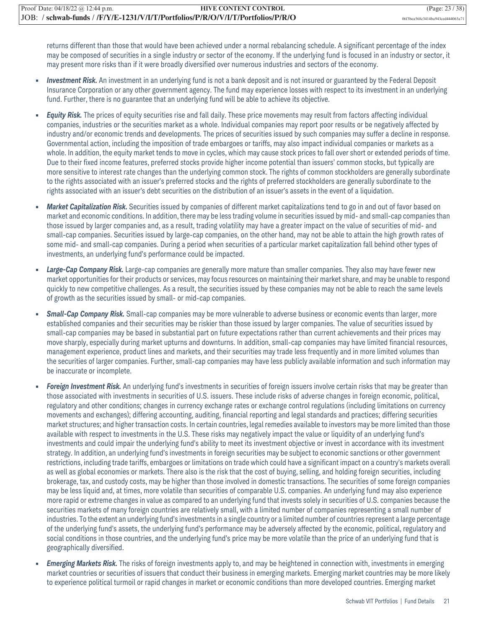returns different than those that would have been achieved under a normal rebalancing schedule. A significant percentage of the index may be composed of securities in a single industry or sector of the economy. If the underlying fund is focused in an industry or sector, it may present more risks than if it were broadly diversified over numerous industries and sectors of the economy.

- **•** *Investment Risk.* An investment in an underlying fund is not a bank deposit and is not insured or guaranteed by the Federal Deposit Insurance Corporation or any other government agency. The fund may experience losses with respect to its investment in an underlying fund. Further, there is no guarantee that an underlying fund will be able to achieve its objective.
- **•** *Equity Risk.* The prices of equity securities rise and fall daily. These price movements may result from factors affecting individual companies, industries or the securities market as a whole. Individual companies may report poor results or be negatively affected by industry and/or economic trends and developments. The prices of securities issued by such companies may suffer a decline in response. Governmental action, including the imposition of trade embargoes or tariffs, may also impact individual companies or markets as a whole. In addition, the equity market tends to move in cycles, which may cause stock prices to fall over short or extended periods of time. Due to their fixed income features, preferred stocks provide higher income potential than issuers' common stocks, but typically are more sensitive to interest rate changes than the underlying common stock. The rights of common stockholders are generally subordinate to the rights associated with an issuer's preferred stocks and the rights of preferred stockholders are generally subordinate to the rights associated with an issuer's debt securities on the distribution of an issuer's assets in the event of a liquidation.
- **•** *Market Capitalization Risk.* Securities issued by companies of different market capitalizations tend to go in and out of favor based on market and economic conditions. In addition, there may be less trading volume in securities issued by mid- and small-cap companies than those issued by larger companies and, as a result, trading volatility may have a greater impact on the value of securities of mid- and small-cap companies. Securities issued by large-cap companies, on the other hand, may not be able to attain the high growth rates of some mid- and small-cap companies. During a period when securities of a particular market capitalization fall behind other types of investments, an underlying fund's performance could be impacted.
- *Large-Cap Company Risk.* Large-cap companies are generally more mature than smaller companies. They also may have fewer new market opportunities for their products or services, may focus resources on maintaining their market share, and may be unable to respond quickly to new competitive challenges. As a result, the securities issued by these companies may not be able to reach the same levels of growth as the securities issued by small- or mid-cap companies.
- **•** *Small-Cap Company Risk.* Small-cap companies may be more vulnerable to adverse business or economic events than larger, more established companies and their securities may be riskier than those issued by larger companies. The value of securities issued by small-cap companies may be based in substantial part on future expectations rather than current achievements and their prices may move sharply, especially during market upturns and downturns. In addition, small-cap companies may have limited financial resources, management experience, product lines and markets, and their securities may trade less frequently and in more limited volumes than the securities of larger companies. Further, small-cap companies may have less publicly available information and such information may be inaccurate or incomplete.
- **•** *Foreign Investment Risk.* An underlying fund's investments in securities of foreign issuers involve certain risks that may be greater than those associated with investments in securities of U.S. issuers. These include risks of adverse changes in foreign economic, political, regulatory and other conditions; changes in currency exchange rates or exchange control regulations (including limitations on currency movements and exchanges); differing accounting, auditing, financial reporting and legal standards and practices; differing securities market structures; and higher transaction costs. In certain countries, legal remedies available to investors may be more limited than those available with respect to investments in the U.S. These risks may negatively impact the value or liquidity of an underlying fund's investments and could impair the underlying fund's ability to meet its investment objective or invest in accordance with its investment strategy. In addition, an underlying fund's investments in foreign securities may be subject to economic sanctions or other government restrictions, including trade tariffs, embargoes or limitations on trade which could have a significant impact on a country's markets overall as well as global economies or markets. There also is the risk that the cost of buying, selling, and holding foreign securities, including brokerage, tax, and custody costs, may be higher than those involved in domestic transactions. The securities of some foreign companies may be less liquid and, at times, more volatile than securities of comparable U.S. companies. An underlying fund may also experience more rapid or extreme changes in value as compared to an underlying fund that invests solely in securities of U.S. companies because the securities markets of many foreign countries are relatively small, with a limited number of companies representing a small number of industries. To the extent an underlying fund's investments in a single country or a limited number of countries represent a large percentage of the underlying fund's assets, the underlying fund's performance may be adversely affected by the economic, political, regulatory and social conditions in those countries, and the underlying fund's price may be more volatile than the price of an underlying fund that is geographically diversified.
- **•** *Emerging Markets Risk.* The risks of foreign investments apply to, and may be heightened in connection with, investments in emerging market countries or securities of issuers that conduct their business in emerging markets. Emerging market countries may be more likely to experience political turmoil or rapid changes in market or economic conditions than more developed countries. Emerging market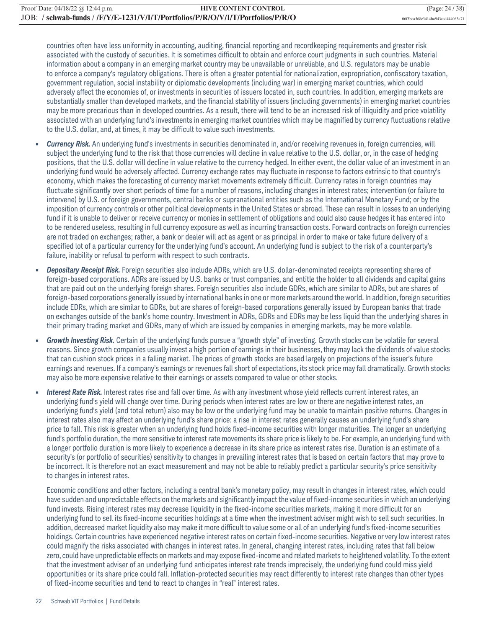countries often have less uniformity in accounting, auditing, financial reporting and recordkeeping requirements and greater risk associated with the custody of securities. It is sometimes difficult to obtain and enforce court judgments in such countries. Material information about a company in an emerging market country may be unavailable or unreliable, and U.S. regulators may be unable to enforce a company's regulatory obligations. There is often a greater potential for nationalization, expropriation, confiscatory taxation, government regulation, social instability or diplomatic developments (including war) in emerging market countries, which could adversely affect the economies of, or investments in securities of issuers located in, such countries. In addition, emerging markets are substantially smaller than developed markets, and the financial stability of issuers (including governments) in emerging market countries may be more precarious than in developed countries. As a result, there will tend to be an increased risk of illiquidity and price volatility associated with an underlying fund's investments in emerging market countries which may be magnified by currency fluctuations relative to the U.S. dollar, and, at times, it may be difficult to value such investments.

- **•** *Currency Risk.* An underlying fund's investments in securities denominated in, and/or receiving revenues in, foreign currencies, will subject the underlying fund to the risk that those currencies will decline in value relative to the U.S. dollar, or, in the case of hedging positions, that the U.S. dollar will decline in value relative to the currency hedged. In either event, the dollar value of an investment in an underlying fund would be adversely affected. Currency exchange rates may fluctuate in response to factors extrinsic to that country's economy, which makes the forecasting of currency market movements extremely difficult. Currency rates in foreign countries may fluctuate significantly over short periods of time for a number of reasons, including changes in interest rates; intervention (or failure to intervene) by U.S. or foreign governments, central banks or supranational entities such as the International Monetary Fund; or by the imposition of currency controls or other political developments in the United States or abroad. These can result in losses to an underlying fund if it is unable to deliver or receive currency or monies in settlement of obligations and could also cause hedges it has entered into to be rendered useless, resulting in full currency exposure as well as incurring transaction costs. Forward contracts on foreign currencies are not traded on exchanges; rather, a bank or dealer will act as agent or as principal in order to make or take future delivery of a specified lot of a particular currency for the underlying fund's account. An underlying fund is subject to the risk of a counterparty's failure, inability or refusal to perform with respect to such contracts.
- **•** *Depositary Receipt Risk.* Foreign securities also include ADRs, which are U.S. dollar-denominated receipts representing shares of foreign-based corporations. ADRs are issued by U.S. banks or trust companies, and entitle the holder to all dividends and capital gains that are paid out on the underlying foreign shares. Foreign securities also include GDRs, which are similar to ADRs, but are shares of foreign-based corporations generally issued by international banks in one or more markets around the world. In addition, foreign securities include EDRs, which are similar to GDRs, but are shares of foreign-based corporations generally issued by European banks that trade on exchanges outside of the bank's home country. Investment in ADRs, GDRs and EDRs may be less liquid than the underlying shares in their primary trading market and GDRs, many of which are issued by companies in emerging markets, may be more volatile.
- Growth Investing Risk. Certain of the underlying funds pursue a "growth style" of investing. Growth stocks can be volatile for several reasons. Since growth companies usually invest a high portion of earnings in their businesses, they may lack the dividends of value stocks that can cushion stock prices in a falling market. The prices of growth stocks are based largely on projections of the issuer's future earnings and revenues. If a company's earnings or revenues fall short of expectations, its stock price may fall dramatically. Growth stocks may also be more expensive relative to their earnings or assets compared to value or other stocks.
- **•** *Interest Rate Risk.* Interest rates rise and fall over time. As with any investment whose yield reflects current interest rates, an underlying fund's yield will change over time. During periods when interest rates are low or there are negative interest rates, an underlying fund's yield (and total return) also may be low or the underlying fund may be unable to maintain positive returns. Changes in interest rates also may affect an underlying fund's share price: a rise in interest rates generally causes an underlying fund's share price to fall. This risk is greater when an underlying fund holds fixed-income securities with longer maturities. The longer an underlying fund's portfolio duration, the more sensitive to interest rate movements its share price is likely to be. For example, an underlying fund with a longer portfolio duration is more likely to experience a decrease in its share price as interest rates rise. Duration is an estimate of a security's (or portfolio of securities) sensitivity to changes in prevailing interest rates that is based on certain factors that may prove to be incorrect. It is therefore not an exact measurement and may not be able to reliably predict a particular security's price sensitivity to changes in interest rates.

Economic conditions and other factors, including a central bank's monetary policy, may result in changes in interest rates, which could have sudden and unpredictable effects on the markets and significantly impact the value of fixed-income securities in which an underlying fund invests. Rising interest rates may decrease liquidity in the fixed-income securities markets, making it more difficult for an underlying fund to sell its fixed-income securities holdings at a time when the investment adviser might wish to sell such securities. In addition, decreased market liquidity also may make it more difficult to value some or all of an underlying fund's fixed-income securities holdings. Certain countries have experienced negative interest rates on certain fixed-income securities. Negative or very low interest rates could magnify the risks associated with changes in interest rates. In general, changing interest rates, including rates that fall below zero, could have unpredictable effects on markets and may expose fixed-income and related markets to heightened volatility. To the extent that the investment adviser of an underlying fund anticipates interest rate trends imprecisely, the underlying fund could miss yield opportunities or its share price could fall. Inflation-protected securities may react differently to interest rate changes than other types of fixed-income securities and tend to react to changes in "real" interest rates.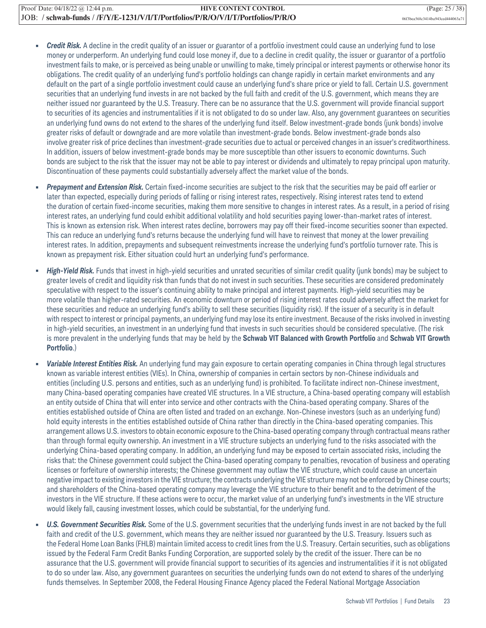- **•** *Credit Risk.* A decline in the credit quality of an issuer or guarantor of a portfolio investment could cause an underlying fund to lose money or underperform. An underlying fund could lose money if, due to a decline in credit quality, the issuer or guarantor of a portfolio investment fails to make, or is perceived as being unable or unwilling to make, timely principal or interest payments or otherwise honor its obligations. The credit quality of an underlying fund's portfolio holdings can change rapidly in certain market environments and any default on the part of a single portfolio investment could cause an underlying fund's share price or yield to fall. Certain U.S. government securities that an underlying fund invests in are not backed by the full faith and credit of the U.S. government, which means they are neither issued nor guaranteed by the U.S. Treasury. There can be no assurance that the U.S. government will provide financial support to securities of its agencies and instrumentalities if it is not obligated to do so under law. Also, any government guarantees on securities an underlying fund owns do not extend to the shares of the underlying fund itself. Below investment-grade bonds (junk bonds) involve greater risks of default or downgrade and are more volatile than investment-grade bonds. Below investment-grade bonds also involve greater risk of price declines than investment-grade securities due to actual or perceived changes in an issuer's creditworthiness. In addition, issuers of below investment-grade bonds may be more susceptible than other issuers to economic downturns. Such bonds are subject to the risk that the issuer may not be able to pay interest or dividends and ultimately to repay principal upon maturity. Discontinuation of these payments could substantially adversely affect the market value of the bonds.
- **•** *Prepayment and Extension Risk.* Certain fixed-income securities are subject to the risk that the securities may be paid off earlier or later than expected, especially during periods of falling or rising interest rates, respectively. Rising interest rates tend to extend the duration of certain fixed-income securities, making them more sensitive to changes in interest rates. As a result, in a period of rising interest rates, an underlying fund could exhibit additional volatility and hold securities paying lower-than-market rates of interest. This is known as extension risk. When interest rates decline, borrowers may pay off their fixed-income securities sooner than expected. This can reduce an underlying fund's returns because the underlying fund will have to reinvest that money at the lower prevailing interest rates. In addition, prepayments and subsequent reinvestments increase the underlying fund's portfolio turnover rate. This is known as prepayment risk. Either situation could hurt an underlying fund's performance.
- **•** *High-Yield Risk.* Funds that invest in high-yield securities and unrated securities of similar credit quality (junk bonds) may be subject to greater levels of credit and liquidity risk than funds that do not invest in such securities. These securities are considered predominately speculative with respect to the issuer's continuing ability to make principal and interest payments. High-yield securities may be more volatile than higher-rated securities. An economic downturn or period of rising interest rates could adversely affect the market for these securities and reduce an underlying fund's ability to sell these securities (liquidity risk). If the issuer of a security is in default with respect to interest or principal payments, an underlying fund may lose its entire investment. Because of the risks involved in investing in high-yield securities, an investment in an underlying fund that invests in such securities should be considered speculative. (The risk is more prevalent in the underlying funds that may be held by the **Schwab VIT Balanced with Growth Portfolio** and **Schwab VIT Growth Portfolio**.)
- **•** *Variable Interest Entities Risk.* An underlying fund may gain exposure to certain operating companies in China through legal structures known as variable interest entities (VIEs). In China, ownership of companies in certain sectors by non-Chinese individuals and entities (including U.S. persons and entities, such as an underlying fund) is prohibited. To facilitate indirect non-Chinese investment, many China-based operating companies have created VIE structures. In a VIE structure, a China-based operating company will establish an entity outside of China that will enter into service and other contracts with the China-based operating company. Shares of the entities established outside of China are often listed and traded on an exchange. Non-Chinese investors (such as an underlying fund) hold equity interests in the entities established outside of China rather than directly in the China-based operating companies. This arrangement allows U.S. investors to obtain economic exposure to the China-based operating company through contractual means rather than through formal equity ownership. An investment in a VIE structure subjects an underlying fund to the risks associated with the underlying China-based operating company. In addition, an underlying fund may be exposed to certain associated risks, including the risks that: the Chinese government could subject the China-based operating company to penalties, revocation of business and operating licenses or forfeiture of ownership interests; the Chinese government may outlaw the VIE structure, which could cause an uncertain negative impact to existing investors in the VIE structure; the contracts underlying the VIE structure may not be enforced by Chinese courts; and shareholders of the China-based operating company may leverage the VIE structure to their benefit and to the detriment of the investors in the VIE structure. If these actions were to occur, the market value of an underlying fund's investments in the VIE structure would likely fall, causing investment losses, which could be substantial, for the underlying fund.
- **•** *U.S. Government Securities Risk.* Some of the U.S. government securities that the underlying funds invest in are not backed by the full faith and credit of the U.S. government, which means they are neither issued nor guaranteed by the U.S. Treasury. Issuers such as the Federal Home Loan Banks (FHLB) maintain limited access to credit lines from the U.S. Treasury. Certain securities, such as obligations issued by the Federal Farm Credit Banks Funding Corporation, are supported solely by the credit of the issuer. There can be no assurance that the U.S. government will provide financial support to securities of its agencies and instrumentalities if it is not obligated to do so under law. Also, any government guarantees on securities the underlying funds own do not extend to shares of the underlying funds themselves. In September 2008, the Federal Housing Finance Agency placed the Federal National Mortgage Association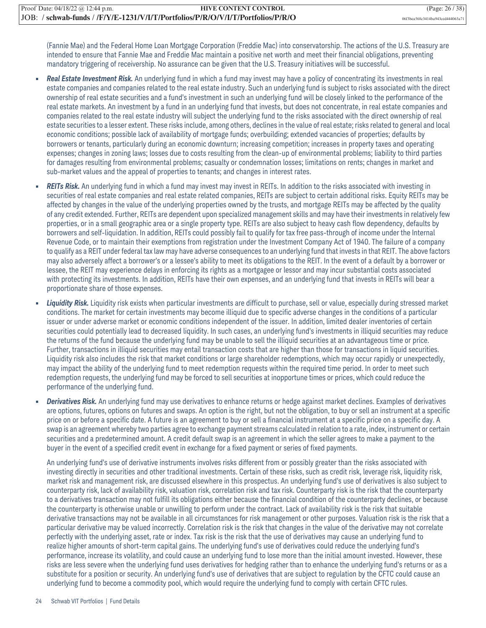(Fannie Mae) and the Federal Home Loan Mortgage Corporation (Freddie Mac) into conservatorship. The actions of the U.S. Treasury are intended to ensure that Fannie Mae and Freddie Mac maintain a positive net worth and meet their financial obligations, preventing mandatory triggering of receivership. No assurance can be given that the U.S. Treasury initiatives will be successful.

- **•** *Real Estate Investment Risk.* An underlying fund in which a fund may invest may have a policy of concentrating its investments in real estate companies and companies related to the real estate industry. Such an underlying fund is subject to risks associated with the direct ownership of real estate securities and a fund's investment in such an underlying fund will be closely linked to the performance of the real estate markets. An investment by a fund in an underlying fund that invests, but does not concentrate, in real estate companies and companies related to the real estate industry will subject the underlying fund to the risks associated with the direct ownership of real estate securities to a lesser extent. These risks include, among others, declines in the value of real estate; risks related to general and local economic conditions; possible lack of availability of mortgage funds; overbuilding; extended vacancies of properties; defaults by borrowers or tenants, particularly during an economic downturn; increasing competition; increases in property taxes and operating expenses; changes in zoning laws; losses due to costs resulting from the clean-up of environmental problems; liability to third parties for damages resulting from environmental problems; casualty or condemnation losses; limitations on rents; changes in market and sub-market values and the appeal of properties to tenants; and changes in interest rates.
- **•** *REITs Risk.* An underlying fund in which a fund may invest may invest in REITs. In addition to the risks associated with investing in securities of real estate companies and real estate related companies, REITs are subject to certain additional risks. Equity REITs may be affected by changes in the value of the underlying properties owned by the trusts, and mortgage REITs may be affected by the quality of any credit extended. Further, REITs are dependent upon specialized management skills and may have their investments in relatively few properties, or in a small geographic area or a single property type. REITs are also subject to heavy cash flow dependency, defaults by borrowers and self-liquidation. In addition, REITs could possibly fail to qualify for tax free pass-through of income under the Internal Revenue Code, or to maintain their exemptions from registration under the Investment Company Act of 1940. The failure of a company to qualify as a REIT under federal tax law may have adverse consequences to an underlying fund that invests in that REIT. The above factors may also adversely affect a borrower's or a lessee's ability to meet its obligations to the REIT. In the event of a default by a borrower or lessee, the REIT may experience delays in enforcing its rights as a mortgagee or lessor and may incur substantial costs associated with protecting its investments. In addition, REITs have their own expenses, and an underlying fund that invests in REITs will bear a proportionate share of those expenses.
- **•** *Liquidity Risk.* Liquidity risk exists when particular investments are difficult to purchase, sell or value, especially during stressed market conditions. The market for certain investments may become illiquid due to specific adverse changes in the conditions of a particular issuer or under adverse market or economic conditions independent of the issuer. In addition, limited dealer inventories of certain securities could potentially lead to decreased liquidity. In such cases, an underlying fund's investments in illiquid securities may reduce the returns of the fund because the underlying fund may be unable to sell the illiquid securities at an advantageous time or price. Further, transactions in illiquid securities may entail transaction costs that are higher than those for transactions in liquid securities. Liquidity risk also includes the risk that market conditions or large shareholder redemptions, which may occur rapidly or unexpectedly, may impact the ability of the underlying fund to meet redemption requests within the required time period. In order to meet such redemption requests, the underlying fund may be forced to sell securities at inopportune times or prices, which could reduce the performance of the underlying fund.
- **•** *Derivatives Risk.* An underlying fund may use derivatives to enhance returns or hedge against market declines. Examples of derivatives are options, futures, options on futures and swaps. An option is the right, but not the obligation, to buy or sell an instrument at a specific price on or before a specific date. A future is an agreement to buy or sell a financial instrument at a specific price on a specific day. A swap is an agreement whereby two parties agree to exchange payment streams calculated in relation to a rate, index, instrument or certain securities and a predetermined amount. A credit default swap is an agreement in which the seller agrees to make a payment to the buyer in the event of a specified credit event in exchange for a fixed payment or series of fixed payments.

An underlying fund's use of derivative instruments involves risks different from or possibly greater than the risks associated with investing directly in securities and other traditional investments. Certain of these risks, such as credit risk, leverage risk, liquidity risk, market risk and management risk, are discussed elsewhere in this prospectus. An underlying fund's use of derivatives is also subject to counterparty risk, lack of availability risk, valuation risk, correlation risk and tax risk. Counterparty risk is the risk that the counterparty to a derivatives transaction may not fulfill its obligations either because the financial condition of the counterparty declines, or because the counterparty is otherwise unable or unwilling to perform under the contract. Lack of availability risk is the risk that suitable derivative transactions may not be available in all circumstances for risk management or other purposes. Valuation risk is the risk that a particular derivative may be valued incorrectly. Correlation risk is the risk that changes in the value of the derivative may not correlate perfectly with the underlying asset, rate or index. Tax risk is the risk that the use of derivatives may cause an underlying fund to realize higher amounts of short-term capital gains. The underlying fund's use of derivatives could reduce the underlying fund's performance, increase its volatility, and could cause an underlying fund to lose more than the initial amount invested. However, these risks are less severe when the underlying fund uses derivatives for hedging rather than to enhance the underlying fund's returns or as a substitute for a position or security. An underlying fund's use of derivatives that are subject to regulation by the CFTC could cause an underlying fund to become a commodity pool, which would require the underlying fund to comply with certain CFTC rules.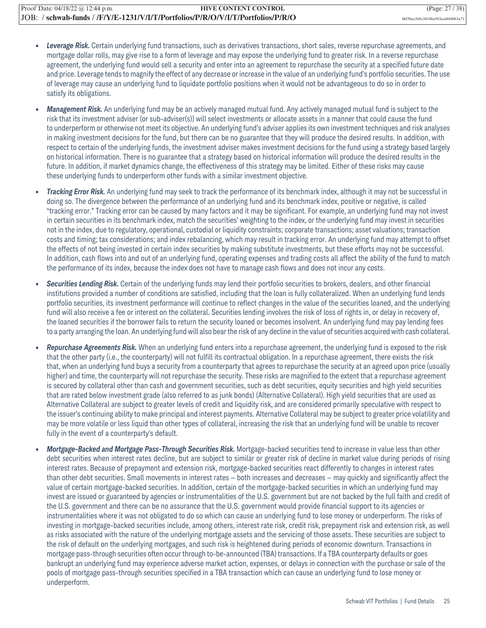- **•** *Leverage Risk.* Certain underlying fund transactions, such as derivatives transactions, short sales, reverse repurchase agreements, and mortgage dollar rolls, may give rise to a form of leverage and may expose the underlying fund to greater risk. In a reverse repurchase agreement, the underlying fund would sell a security and enter into an agreement to repurchase the security at a specified future date and price. Leverage tends to magnify the effect of any decrease or increase in the value of an underlying fund's portfolio securities. The use of leverage may cause an underlying fund to liquidate portfolio positions when it would not be advantageous to do so in order to satisfy its obligations.
- **•** *Management Risk.* An underlying fund may be an actively managed mutual fund. Any actively managed mutual fund is subject to the risk that its investment adviser (or sub-adviser(s)) will select investments or allocate assets in a manner that could cause the fund to underperform or otherwise not meet its objective. An underlying fund's adviser applies its own investment techniques and risk analyses in making investment decisions for the fund, but there can be no guarantee that they will produce the desired results. In addition, with respect to certain of the underlying funds, the investment adviser makes investment decisions for the fund using a strategy based largely on historical information. There is no guarantee that a strategy based on historical information will produce the desired results in the future. In addition, if market dynamics change, the effectiveness of this strategy may be limited. Either of these risks may cause these underlying funds to underperform other funds with a similar investment objective.
- **•** *Tracking Error Risk.* An underlying fund may seek to track the performance of its benchmark index, although it may not be successful in doing so. The divergence between the performance of an underlying fund and its benchmark index, positive or negative, is called "tracking error." Tracking error can be caused by many factors and it may be significant. For example, an underlying fund may not invest in certain securities in its benchmark index, match the securities' weighting to the index, or the underlying fund may invest in securities not in the index, due to regulatory, operational, custodial or liquidity constraints; corporate transactions; asset valuations; transaction costs and timing; tax considerations; and index rebalancing, which may result in tracking error. An underlying fund may attempt to offset the effects of not being invested in certain index securities by making substitute investments, but these efforts may not be successful. In addition, cash flows into and out of an underlying fund, operating expenses and trading costs all affect the ability of the fund to match the performance of its index, because the index does not have to manage cash flows and does not incur any costs.
- **•** *Securities Lending Risk.* Certain of the underlying funds may lend their portfolio securities to brokers, dealers, and other financial institutions provided a number of conditions are satisfied, including that the loan is fully collateralized. When an underlying fund lends portfolio securities, its investment performance will continue to reflect changes in the value of the securities loaned, and the underlying fund will also receive a fee or interest on the collateral. Securities lending involves the risk of loss of rights in, or delay in recovery of, the loaned securities if the borrower fails to return the security loaned or becomes insolvent. An underlying fund may pay lending fees to a party arranging the loan. An underlying fund will also bear the risk of any decline in the value of securities acquired with cash collateral.
- **•** *Repurchase Agreements Risk.* When an underlying fund enters into a repurchase agreement, the underlying fund is exposed to the risk that the other party (i.e., the counterparty) will not fulfill its contractual obligation. In a repurchase agreement, there exists the risk that, when an underlying fund buys a security from a counterparty that agrees to repurchase the security at an agreed upon price (usually higher) and time, the counterparty will not repurchase the security. These risks are magnified to the extent that a repurchase agreement is secured by collateral other than cash and government securities, such as debt securities, equity securities and high yield securities that are rated below investment grade (also referred to as junk bonds) (Alternative Collateral). High yield securities that are used as Alternative Collateral are subject to greater levels of credit and liquidity risk, and are considered primarily speculative with respect to the issuer's continuing ability to make principal and interest payments. Alternative Collateral may be subject to greater price volatility and may be more volatile or less liquid than other types of collateral, increasing the risk that an underlying fund will be unable to recover fully in the event of a counterparty's default.
- **•** *Mortgage-Backed and Mortgage Pass-Through Securities Risk.* Mortgage-backed securities tend to increase in value less than other debt securities when interest rates decline, but are subject to similar or greater risk of decline in market value during periods of rising interest rates. Because of prepayment and extension risk, mortgage-backed securities react differently to changes in interest rates than other debt securities. Small movements in interest rates — both increases and decreases — may quickly and significantly affect the value of certain mortgage-backed securities. In addition, certain of the mortgage-backed securities in which an underlying fund may invest are issued or guaranteed by agencies or instrumentalities of the U.S. government but are not backed by the full faith and credit of the U.S. government and there can be no assurance that the U.S. government would provide financial support to its agencies or instrumentalities where it was not obligated to do so which can cause an underlying fund to lose money or underperform. The risks of investing in mortgage-backed securities include, among others, interest rate risk, credit risk, prepayment risk and extension risk, as well as risks associated with the nature of the underlying mortgage assets and the servicing of those assets. These securities are subject to the risk of default on the underlying mortgages, and such risk is heightened during periods of economic downturn. Transactions in mortgage pass-through securities often occur through to-be-announced (TBA) transactions. If a TBA counterparty defaults or goes bankrupt an underlying fund may experience adverse market action, expenses, or delays in connection with the purchase or sale of the pools of mortgage pass-through securities specified in a TBA transaction which can cause an underlying fund to lose money or underperform.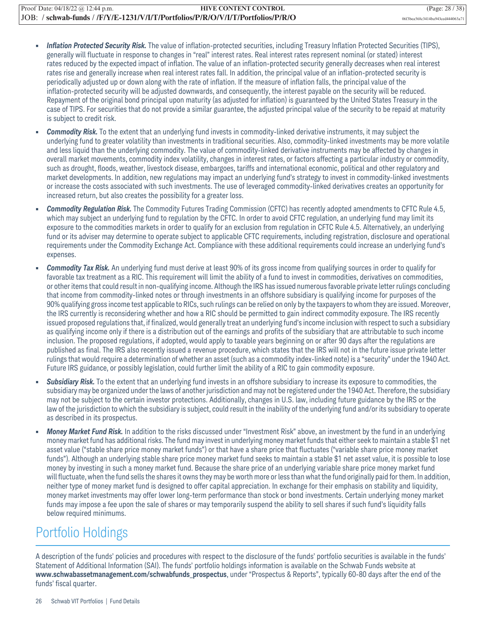- **•** *Inflation Protected Security Risk.* The value of inflation-protected securities, including Treasury Inflation Protected Securities (TIPS), generally will fluctuate in response to changes in "real" interest rates. Real interest rates represent nominal (or stated) interest rates reduced by the expected impact of inflation. The value of an inflation-protected security generally decreases when real interest rates rise and generally increase when real interest rates fall. In addition, the principal value of an inflation-protected security is periodically adjusted up or down along with the rate of inflation. If the measure of inflation falls, the principal value of the inflation-protected security will be adjusted downwards, and consequently, the interest payable on the security will be reduced. Repayment of the original bond principal upon maturity (as adjusted for inflation) is guaranteed by the United States Treasury in the case of TIPS. For securities that do not provide a similar guarantee, the adjusted principal value of the security to be repaid at maturity is subject to credit risk.
- **•** *Commodity Risk.* To the extent that an underlying fund invests in commodity-linked derivative instruments, it may subject the underlying fund to greater volatility than investments in traditional securities. Also, commodity-linked investments may be more volatile and less liquid than the underlying commodity. The value of commodity-linked derivative instruments may be affected by changes in overall market movements, commodity index volatility, changes in interest rates, or factors affecting a particular industry or commodity, such as drought, floods, weather, livestock disease, embargoes, tariffs and international economic, political and other regulatory and market developments. In addition, new regulations may impact an underlying fund's strategy to invest in commodity-linked investments or increase the costs associated with such investments. The use of leveraged commodity-linked derivatives creates an opportunity for increased return, but also creates the possibility for a greater loss.
- **•** *Commodity Regulation Risk.* The Commodity Futures Trading Commission (CFTC) has recently adopted amendments to CFTC Rule 4.5, which may subject an underlying fund to regulation by the CFTC. In order to avoid CFTC regulation, an underlying fund may limit its exposure to the commodities markets in order to qualify for an exclusion from regulation in CFTC Rule 4.5. Alternatively, an underlying fund or its adviser may determine to operate subject to applicable CFTC requirements, including registration, disclosure and operational requirements under the Commodity Exchange Act. Compliance with these additional requirements could increase an underlying fund's expenses.
- **•** *Commodity Tax Risk.* An underlying fund must derive at least 90% of its gross income from qualifying sources in order to qualify for favorable tax treatment as a RIC. This requirement will limit the ability of a fund to invest in commodities, derivatives on commodities, or other items that could result in non-qualifying income. Although the IRS has issued numerous favorable private letter rulings concluding that income from commodity-linked notes or through investments in an offshore subsidiary is qualifying income for purposes of the 90% qualifying gross income test applicable to RICs, such rulings can be relied on only by the taxpayers to whom they are issued. Moreover, the IRS currently is reconsidering whether and how a RIC should be permitted to gain indirect commodity exposure. The IRS recently issued proposed regulations that, if finalized, would generally treat an underlying fund's income inclusion with respect to such a subsidiary as qualifying income only if there is a distribution out of the earnings and profits of the subsidiary that are attributable to such income inclusion. The proposed regulations, if adopted, would apply to taxable years beginning on or after 90 days after the regulations are published as final. The IRS also recently issued a revenue procedure, which states that the IRS will not in the future issue private letter rulings that would require a determination of whether an asset (such as a commodity index-linked note) is a "security" under the 1940 Act. Future IRS guidance, or possibly legislation, could further limit the ability of a RIC to gain commodity exposure.
- **•** *Subsidiary Risk.* To the extent that an underlying fund invests in an offshore subsidiary to increase its exposure to commodities, the subsidiary may be organized under the laws of another jurisdiction and may not be registered under the 1940 Act. Therefore, the subsidiary may not be subject to the certain investor protections. Additionally, changes in U.S. law, including future guidance by the IRS or the law of the jurisdiction to which the subsidiary is subject, could result in the inability of the underlying fund and/or its subsidiary to operate as described in its prospectus.
- **•** *Money Market Fund Risk.* In addition to the risks discussed under "Investment Risk" above, an investment by the fund in an underlying money market fund has additional risks. The fund may invest in underlying money market funds that either seek to maintain a stable \$1 net asset value ("stable share price money market funds") or that have a share price that fluctuates ("variable share price money market funds"). Although an underlying stable share price money market fund seeks to maintain a stable \$1 net asset value, it is possible to lose money by investing in such a money market fund. Because the share price of an underlying variable share price money market fund will fluctuate, when the fund sells the shares it owns they may be worth more or less than what the fund originally paid for them. In addition, neither type of money market fund is designed to offer capital appreciation. In exchange for their emphasis on stability and liquidity, money market investments may offer lower long-term performance than stock or bond investments. Certain underlying money market funds may impose a fee upon the sale of shares or may temporarily suspend the ability to sell shares if such fund's liquidity falls below required minimums.

### Portfolio Holdings

A description of the funds' policies and procedures with respect to the disclosure of the funds' portfolio securities is available in the funds' Statement of Additional Information (SAI). The funds' portfolio holdings information is available on the Schwab Funds website at **www.schwabassetmanagement.com/schwabfunds\_prospectus**, under "Prospectus & Reports", typically 60-80 days after the end of the funds' fiscal quarter.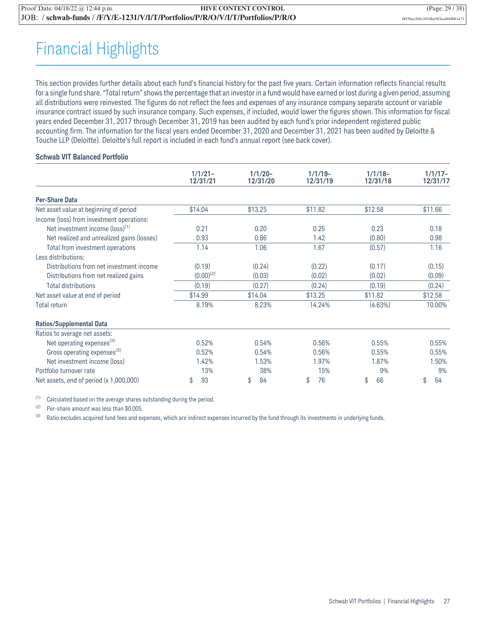## Financial Highlights

This section provides further details about each fund's financial history for the past five years. Certain information reflects financial results for a single fund share. "Total return" shows the percentage that an investor in a fund would have earned or lost during a given period, assuming all distributions were reinvested. The figures do not reflect the fees and expenses of any insurance company separate account or variable insurance contract issued by such insurance company. Such expenses, if included, would lower the figures shown. This information for fiscal years ended December 31, 2017 through December 31, 2019 has been audited by each fund's prior independent registered public accounting firm. The information for the fiscal years ended December 31, 2020 and December 31, 2021 has been audited by Deloitte & Touche LLP (Deloitte). Deloitte's full report is included in each fund's annual report (see back cover).

#### **Schwab VIT Balanced Portfolio**

|                                             | $1/1/21 -$<br>12/31/21 | $1/1/20 -$<br>12/31/20 | $1/1/19-$<br>12/31/19 | $1/1/18 -$<br>12/31/18 | $1/1/17-$<br>12/31/17 |
|---------------------------------------------|------------------------|------------------------|-----------------------|------------------------|-----------------------|
| <b>Per-Share Data</b>                       |                        |                        |                       |                        |                       |
| Net asset value at beginning of period      | \$14.04                | \$13.25                | \$11.82               | \$12.58                | \$11.66               |
| Income (loss) from investment operations:   |                        |                        |                       |                        |                       |
| Net investment income (loss) <sup>(1)</sup> | 0.21                   | 0.20                   | 0.25                  | 0.23                   | 0.18                  |
| Net realized and unrealized gains (losses)  | 0.93                   | 0.86                   | 1.42                  | (0.80)                 | 0.98                  |
| Total from investment operations            | 1.14                   | 1.06                   | 1.67                  | (0.57)                 | 1.16                  |
| Less distributions:                         |                        |                        |                       |                        |                       |
| Distributions from net investment income    | (0.19)                 | (0.24)                 | (0.22)                | (0.17)                 | (0.15)                |
| Distributions from net realized gains       | $(0.00)^{(2)}$         | (0.03)                 | (0.02)                | (0.02)                 | (0.09)                |
| <b>Total distributions</b>                  | (0.19)                 | (0.27)                 | (0.24)                | (0.19)                 | (0.24)                |
| Net asset value at end of period            | \$14.99                | \$14.04                | \$13.25               | \$11.82                | \$12.58               |
| <b>Total return</b>                         | 8.19%                  | 8.23%                  | 14.24%                | (4.63%)                | 10.00%                |
| <b>Ratios/Supplemental Data</b>             |                        |                        |                       |                        |                       |
| Ratios to average net assets:               |                        |                        |                       |                        |                       |
| Net operating expenses <sup>(3)</sup>       | 0.52%                  | 0.54%                  | 0.56%                 | 0.55%                  | 0.55%                 |
| Gross operating expenses <sup>(3)</sup>     | 0.52%                  | 0.54%                  | 0.56%                 | 0.55%                  | 0.55%                 |
| Net investment income (loss)                | 1.42%                  | 1.53%                  | 1.97%                 | 1.87%                  | 1.50%                 |
| Portfolio turnover rate                     | 13%                    | 38%                    | 15%                   | 9%                     | 9%                    |
| Net assets, end of period (x 1,000,000)     | 93<br>\$               | 84<br>\$               | 76<br>\$              | 66<br>\$               | 64<br>\$              |

(1) Calculated based on the average shares outstanding during the period.

(2) Per-share amount was less than \$0.005.

(3) Ratio excludes acquired fund fees and expenses, which are indirect expenses incurred by the fund through its investments in underlying funds.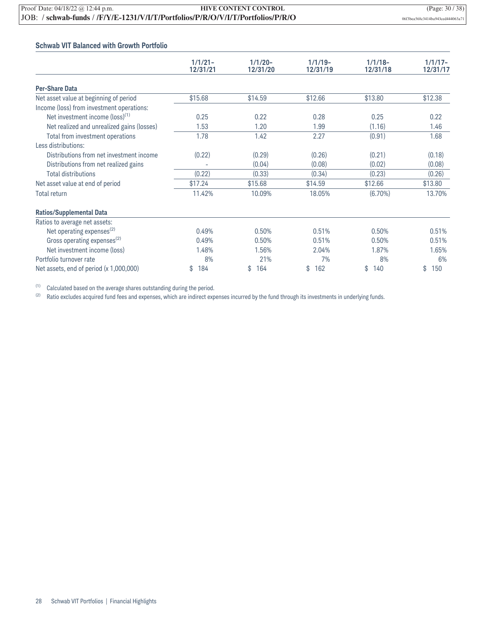#### **Schwab VIT Balanced with Growth Portfolio**

|                                             | $1/1/21 -$<br>12/31/21 | $1/1/20 -$<br>12/31/20 | $1/1/19-$<br>12/31/19 | $1/1/18-$<br>12/31/18 | $1/1/17-$<br>12/31/17 |
|---------------------------------------------|------------------------|------------------------|-----------------------|-----------------------|-----------------------|
| <b>Per-Share Data</b>                       |                        |                        |                       |                       |                       |
| Net asset value at beginning of period      | \$15.68                | \$14.59                | \$12.66               | \$13.80               | \$12.38               |
| Income (loss) from investment operations:   |                        |                        |                       |                       |                       |
| Net investment income (loss) <sup>(1)</sup> | 0.25                   | 0.22                   | 0.28                  | 0.25                  | 0.22                  |
| Net realized and unrealized gains (losses)  | 1.53                   | 1.20                   | 1.99                  | (1.16)                | 1.46                  |
| Total from investment operations            | 1.78                   | 1.42                   | 2.27                  | (0.91)                | 1.68                  |
| Less distributions:                         |                        |                        |                       |                       |                       |
| Distributions from net investment income    | (0.22)                 | (0.29)                 | (0.26)                | (0.21)                | (0.18)                |
| Distributions from net realized gains       |                        | (0.04)                 | (0.08)                | (0.02)                | (0.08)                |
| <b>Total distributions</b>                  | (0.22)                 | (0.33)                 | (0.34)                | (0.23)                | (0.26)                |
| Net asset value at end of period            | \$17.24                | \$15.68                | \$14.59               | \$12.66               | \$13.80               |
| <b>Total return</b>                         | 11.42%                 | 10.09%                 | 18.05%                | $(6.70\%)$            | 13.70%                |
| <b>Ratios/Supplemental Data</b>             |                        |                        |                       |                       |                       |
| Ratios to average net assets:               |                        |                        |                       |                       |                       |
| Net operating expenses <sup>(2)</sup>       | 0.49%                  | 0.50%                  | 0.51%                 | 0.50%                 | 0.51%                 |
| Gross operating expenses $^{(2)}$           | 0.49%                  | 0.50%                  | 0.51%                 | 0.50%                 | 0.51%                 |
| Net investment income (loss)                | 1.48%                  | 1.56%                  | 2.04%                 | 1.87%                 | 1.65%                 |
| Portfolio turnover rate                     | 8%                     | 21%                    | 7%                    | 8%                    | 6%                    |
| Net assets, end of period $(x 1,000,000)$   | 184<br>\$              | 164<br>\$              | \$<br>162             | \$<br>140             | \$<br>150             |

(1) Calculated based on the average shares outstanding during the period.<br>(2) Ratio excludes acquired fund fees and expenses, which are indirect exp

Ratio excludes acquired fund fees and expenses, which are indirect expenses incurred by the fund through its investments in underlying funds.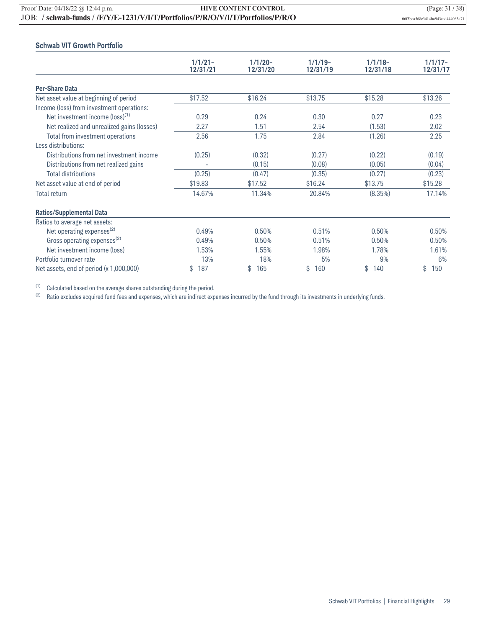| Proof Date: $04/18/22$ @ 12:44 p.m. | <b>HIVE CONTENT CONTROL</b>                                                  | (Page: $31/38$ )                 |
|-------------------------------------|------------------------------------------------------------------------------|----------------------------------|
|                                     | JOB: /schwab-funds//F/Y/E-1231/V/I/T/Portfolios/P/R/O/V/I/T/Portfolios/P/R/O | 06f3bea568c3414ba943ced444063a71 |

#### **Schwab VIT Growth Portfolio**

|                                             | $1/1/21 -$<br>12/31/21 | $1/1/20 -$<br>12/31/20 | $1/1/19-$<br>12/31/19 | $1/1/18-$<br>12/31/18 | $1/1/17-$<br>12/31/17 |
|---------------------------------------------|------------------------|------------------------|-----------------------|-----------------------|-----------------------|
| <b>Per-Share Data</b>                       |                        |                        |                       |                       |                       |
| Net asset value at beginning of period      | \$17.52                | \$16.24                | \$13.75               | \$15.28               | \$13.26               |
| Income (loss) from investment operations:   |                        |                        |                       |                       |                       |
| Net investment income (loss) <sup>(1)</sup> | 0.29                   | 0.24                   | 0.30                  | 0.27                  | 0.23                  |
| Net realized and unrealized gains (losses)  | 2.27                   | 1.51                   | 2.54                  | (1.53)                | 2.02                  |
| Total from investment operations            | 2.56                   | 1.75                   | 2.84                  | (1.26)                | 2.25                  |
| Less distributions:                         |                        |                        |                       |                       |                       |
| Distributions from net investment income    | (0.25)                 | (0.32)                 | (0.27)                | (0.22)                | (0.19)                |
| Distributions from net realized gains       |                        | (0.15)                 | (0.08)                | (0.05)                | (0.04)                |
| <b>Total distributions</b>                  | (0.25)                 | (0.47)                 | (0.35)                | (0.27)                | (0.23)                |
| Net asset value at end of period            | \$19.83                | \$17.52                | \$16.24               | \$13.75               | \$15.28               |
| <b>Total return</b>                         | 14.67%                 | 11.34%                 | 20.84%                | (8.35%)               | 17.14%                |
| <b>Ratios/Supplemental Data</b>             |                        |                        |                       |                       |                       |
| Ratios to average net assets:               |                        |                        |                       |                       |                       |
| Net operating expenses <sup>(2)</sup>       | 0.49%                  | 0.50%                  | 0.51%                 | 0.50%                 | 0.50%                 |
| Gross operating expenses <sup>(2)</sup>     | 0.49%                  | 0.50%                  | 0.51%                 | 0.50%                 | 0.50%                 |
| Net investment income (loss)                | 1.53%                  | 1.55%                  | 1.98%                 | 1.78%                 | 1.61%                 |
| Portfolio turnover rate                     | 13%                    | 18%                    | 5%                    | 9%                    | 6%                    |
| Net assets, end of period $(x 1,000,000)$   | \$<br>187              | \$<br>165              | \$<br>160             | \$<br>140             | \$<br>150             |

(1) Calculated based on the average shares outstanding during the period.<br>(2) Ratio excludes acquired fund fees and expenses, which are indirect exp

Ratio excludes acquired fund fees and expenses, which are indirect expenses incurred by the fund through its investments in underlying funds.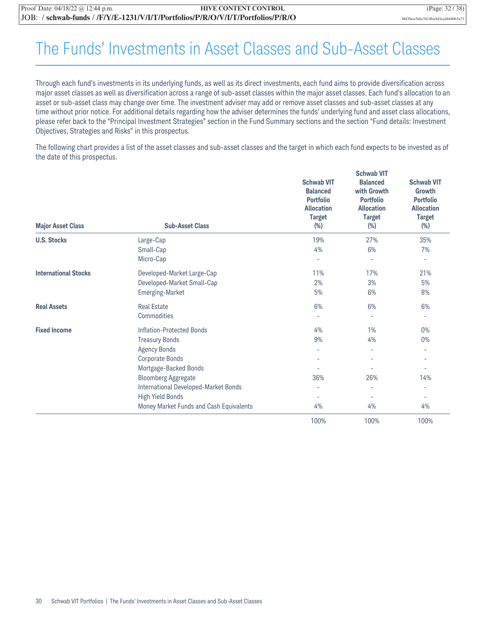## The Funds' Investments in Asset Classes and Sub-Asset Classes

Through each fund's investments in its underlying funds, as well as its direct investments, each fund aims to provide diversification across major asset classes as well as diversification across a range of sub-asset classes within the major asset classes. Each fund's allocation to an asset or sub-asset class may change over time. The investment adviser may add or remove asset classes and sub-asset classes at any time without prior notice. For additional details regarding how the adviser determines the funds' underlying fund and asset class allocations, please refer back to the "Principal Investment Strategies" section in the Fund Summary sections and the section "Fund details: Investment Objectives, Strategies and Risks" in this prospectus.

The following chart provides a list of the asset classes and sub-asset classes and the target in which each fund expects to be invested as of the date of this prospectus.

|                             |                                         | <b>Schwab VIT</b>                                                                                      |                                                                                                    |                                                                                              |  |
|-----------------------------|-----------------------------------------|--------------------------------------------------------------------------------------------------------|----------------------------------------------------------------------------------------------------|----------------------------------------------------------------------------------------------|--|
| <b>Major Asset Class</b>    | <b>Sub-Asset Class</b>                  | <b>Schwab VIT</b><br><b>Balanced</b><br><b>Portfolio</b><br><b>Allocation</b><br><b>Target</b><br>(% ) | <b>Balanced</b><br>with Growth<br><b>Portfolio</b><br><b>Allocation</b><br><b>Target</b><br>$(\%)$ | <b>Schwab VIT</b><br>Growth<br><b>Portfolio</b><br><b>Allocation</b><br><b>Target</b><br>(%) |  |
| <b>U.S. Stocks</b>          | Large-Cap                               | 19%                                                                                                    | 27%                                                                                                | 35%                                                                                          |  |
|                             | Small-Cap                               | 4%                                                                                                     | 6%                                                                                                 | 7%                                                                                           |  |
|                             | Micro-Cap                               |                                                                                                        | ٠                                                                                                  | ٠                                                                                            |  |
| <b>International Stocks</b> | Developed-Market Large-Cap              | 11%                                                                                                    | 17%                                                                                                | 21%                                                                                          |  |
|                             | Developed-Market Small-Cap              | 2%                                                                                                     | 3%                                                                                                 | 5%                                                                                           |  |
|                             | <b>Emerging-Market</b>                  | 5%                                                                                                     | 6%                                                                                                 | 8%                                                                                           |  |
| <b>Real Assets</b>          | <b>Real Estate</b>                      | 6%                                                                                                     | 6%                                                                                                 | 6%                                                                                           |  |
|                             | Commodities                             |                                                                                                        | $\overline{a}$                                                                                     | ٠                                                                                            |  |
| <b>Fixed Income</b>         | <b>Inflation-Protected Bonds</b>        | 4%                                                                                                     | 1%                                                                                                 | 0%                                                                                           |  |
|                             | <b>Treasury Bonds</b>                   | 9%                                                                                                     | 4%                                                                                                 | $0\%$                                                                                        |  |
|                             | <b>Agency Bonds</b>                     | ٠                                                                                                      | $\overline{\phantom{a}}$                                                                           | ٠                                                                                            |  |
|                             | Corporate Bonds                         |                                                                                                        | ۰                                                                                                  | ٠                                                                                            |  |
|                             | Mortgage-Backed Bonds                   |                                                                                                        |                                                                                                    | ÷,                                                                                           |  |
|                             | <b>Bloomberg Aggregate</b>              | 36%                                                                                                    | 26%                                                                                                | 14%                                                                                          |  |
|                             | International Developed-Market Bonds    |                                                                                                        | L,                                                                                                 |                                                                                              |  |
|                             | <b>High Yield Bonds</b>                 | $\overline{\phantom{a}}$                                                                               | ٠                                                                                                  | ۰                                                                                            |  |
|                             | Money Market Funds and Cash Equivalents | 4%                                                                                                     | 4%                                                                                                 | 4%                                                                                           |  |
|                             |                                         | 100%                                                                                                   | 100%                                                                                               | 100%                                                                                         |  |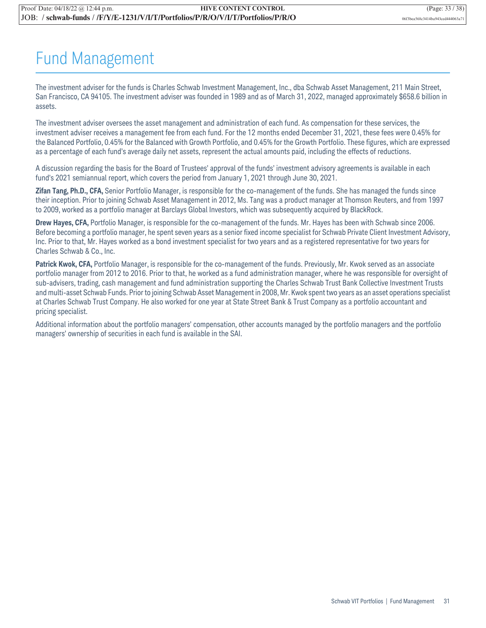## Fund Management

The investment adviser for the funds is Charles Schwab Investment Management, Inc., dba Schwab Asset Management, 211 Main Street, San Francisco, CA 94105. The investment adviser was founded in 1989 and as of March 31, 2022, managed approximately \$658.6 billion in assets.

The investment adviser oversees the asset management and administration of each fund. As compensation for these services, the investment adviser receives a management fee from each fund. For the 12 months ended December 31, 2021, these fees were 0.45% for the Balanced Portfolio, 0.45% for the Balanced with Growth Portfolio, and 0.45% for the Growth Portfolio. These figures, which are expressed as a percentage of each fund's average daily net assets, represent the actual amounts paid, including the effects of reductions.

A discussion regarding the basis for the Board of Trustees' approval of the funds' investment advisory agreements is available in each fund's 2021 semiannual report, which covers the period from January 1, 2021 through June 30, 2021.

**Zifan Tang, Ph.D., CFA,** Senior Portfolio Manager, is responsible for the co-management of the funds. She has managed the funds since their inception. Prior to joining Schwab Asset Management in 2012, Ms. Tang was a product manager at Thomson Reuters, and from 1997 to 2009, worked as a portfolio manager at Barclays Global Investors, which was subsequently acquired by BlackRock.

**Drew Hayes, CFA,** Portfolio Manager, is responsible for the co-management of the funds. Mr. Hayes has been with Schwab since 2006. Before becoming a portfolio manager, he spent seven years as a senior fixed income specialist for Schwab Private Client Investment Advisory, Inc. Prior to that, Mr. Hayes worked as a bond investment specialist for two years and as a registered representative for two years for Charles Schwab & Co., Inc.

**Patrick Kwok, CFA,** Portfolio Manager, is responsible for the co-management of the funds. Previously, Mr. Kwok served as an associate portfolio manager from 2012 to 2016. Prior to that, he worked as a fund administration manager, where he was responsible for oversight of sub-advisers, trading, cash management and fund administration supporting the Charles Schwab Trust Bank Collective Investment Trusts and multi-asset Schwab Funds. Prior to joining Schwab Asset Management in 2008, Mr. Kwok spent two years as an asset operations specialist at Charles Schwab Trust Company. He also worked for one year at State Street Bank & Trust Company as a portfolio accountant and pricing specialist.

Additional information about the portfolio managers' compensation, other accounts managed by the portfolio managers and the portfolio managers' ownership of securities in each fund is available in the SAI.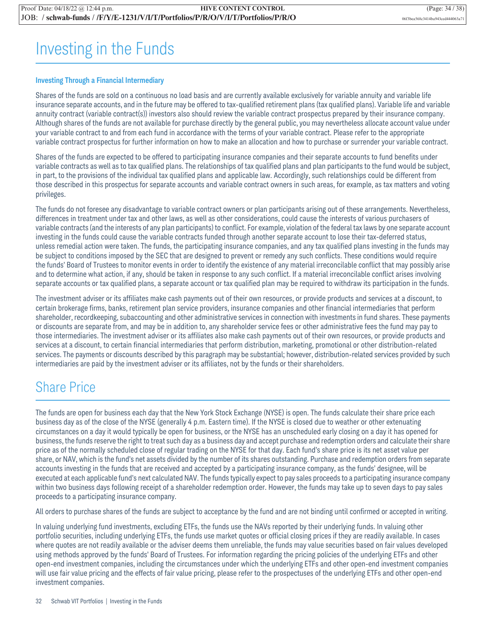## Investing in the Funds

#### **Investing Through a Financial Intermediary**

Shares of the funds are sold on a continuous no load basis and are currently available exclusively for variable annuity and variable life insurance separate accounts, and in the future may be offered to tax-qualified retirement plans (tax qualified plans). Variable life and variable annuity contract (variable contract(s)) investors also should review the variable contract prospectus prepared by their insurance company. Although shares of the funds are not available for purchase directly by the general public, you may nevertheless allocate account value under your variable contract to and from each fund in accordance with the terms of your variable contract. Please refer to the appropriate variable contract prospectus for further information on how to make an allocation and how to purchase or surrender your variable contract.

Shares of the funds are expected to be offered to participating insurance companies and their separate accounts to fund benefits under variable contracts as well as to tax qualified plans. The relationships of tax qualified plans and plan participants to the fund would be subject, in part, to the provisions of the individual tax qualified plans and applicable law. Accordingly, such relationships could be different from those described in this prospectus for separate accounts and variable contract owners in such areas, for example, as tax matters and voting privileges.

The funds do not foresee any disadvantage to variable contract owners or plan participants arising out of these arrangements. Nevertheless, differences in treatment under tax and other laws, as well as other considerations, could cause the interests of various purchasers of variable contracts (and the interests of any plan participants) to conflict. For example, violation of the federal tax laws by one separate account investing in the funds could cause the variable contracts funded through another separate account to lose their tax-deferred status, unless remedial action were taken. The funds, the participating insurance companies, and any tax qualified plans investing in the funds may be subject to conditions imposed by the SEC that are designed to prevent or remedy any such conflicts. These conditions would require the funds' Board of Trustees to monitor events in order to identify the existence of any material irreconcilable conflict that may possibly arise and to determine what action, if any, should be taken in response to any such conflict. If a material irreconcilable conflict arises involving separate accounts or tax qualified plans, a separate account or tax qualified plan may be required to withdraw its participation in the funds.

The investment adviser or its affiliates make cash payments out of their own resources, or provide products and services at a discount, to certain brokerage firms, banks, retirement plan service providers, insurance companies and other financial intermediaries that perform shareholder, recordkeeping, subaccounting and other administrative services in connection with investments in fund shares. These payments or discounts are separate from, and may be in addition to, any shareholder service fees or other administrative fees the fund may pay to those intermediaries. The investment adviser or its affiliates also make cash payments out of their own resources, or provide products and services at a discount, to certain financial intermediaries that perform distribution, marketing, promotional or other distribution-related services. The payments or discounts described by this paragraph may be substantial; however, distribution-related services provided by such intermediaries are paid by the investment adviser or its affiliates, not by the funds or their shareholders.

### Share Price

The funds are open for business each day that the New York Stock Exchange (NYSE) is open. The funds calculate their share price each business day as of the close of the NYSE (generally 4 p.m. Eastern time). If the NYSE is closed due to weather or other extenuating circumstances on a day it would typically be open for business, or the NYSE has an unscheduled early closing on a day it has opened for business, the funds reserve the right to treat such day as a business day and accept purchase and redemption orders and calculate their share price as of the normally scheduled close of regular trading on the NYSE for that day. Each fund's share price is its net asset value per share, or NAV, which is the fund's net assets divided by the number of its shares outstanding. Purchase and redemption orders from separate accounts investing in the funds that are received and accepted by a participating insurance company, as the funds' designee, will be executed at each applicable fund's next calculated NAV. The funds typically expect to pay sales proceeds to a participating insurance company within two business days following receipt of a shareholder redemption order. However, the funds may take up to seven days to pay sales proceeds to a participating insurance company.

All orders to purchase shares of the funds are subject to acceptance by the fund and are not binding until confirmed or accepted in writing.

In valuing underlying fund investments, excluding ETFs, the funds use the NAVs reported by their underlying funds. In valuing other portfolio securities, including underlying ETFs, the funds use market quotes or official closing prices if they are readily available. In cases where quotes are not readily available or the adviser deems them unreliable, the funds may value securities based on fair values developed using methods approved by the funds' Board of Trustees. For information regarding the pricing policies of the underlying ETFs and other open-end investment companies, including the circumstances under which the underlying ETFs and other open-end investment companies will use fair value pricing and the effects of fair value pricing, please refer to the prospectuses of the underlying ETFs and other open-end investment companies.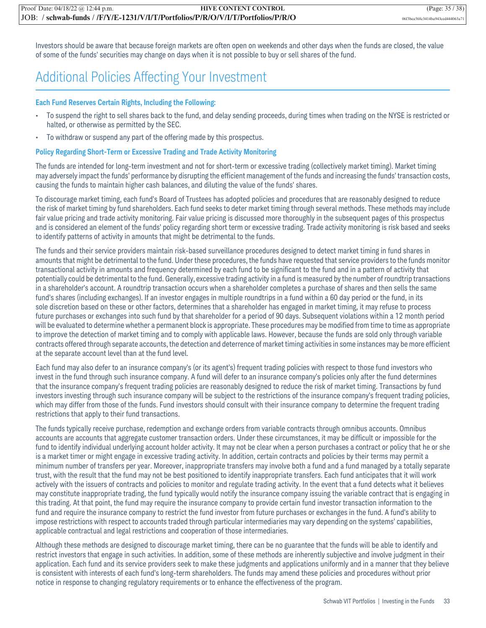Investors should be aware that because foreign markets are often open on weekends and other days when the funds are closed, the value of some of the funds' securities may change on days when it is not possible to buy or sell shares of the fund.

### Additional Policies Affecting Your Investment

#### **Each Fund Reserves Certain Rights, Including the Following:**

- To suspend the right to sell shares back to the fund, and delay sending proceeds, during times when trading on the NYSE is restricted or halted, or otherwise as permitted by the SEC.
- To withdraw or suspend any part of the offering made by this prospectus.

#### **Policy Regarding Short-Term or Excessive Trading and Trade Activity Monitoring**

The funds are intended for long-term investment and not for short-term or excessive trading (collectively market timing). Market timing may adversely impact the funds' performance by disrupting the efficient management of the funds and increasing the funds' transaction costs, causing the funds to maintain higher cash balances, and diluting the value of the funds' shares.

To discourage market timing, each fund's Board of Trustees has adopted policies and procedures that are reasonably designed to reduce the risk of market timing by fund shareholders. Each fund seeks to deter market timing through several methods. These methods may include fair value pricing and trade activity monitoring. Fair value pricing is discussed more thoroughly in the subsequent pages of this prospectus and is considered an element of the funds' policy regarding short term or excessive trading. Trade activity monitoring is risk based and seeks to identify patterns of activity in amounts that might be detrimental to the funds.

The funds and their service providers maintain risk-based surveillance procedures designed to detect market timing in fund shares in amounts that might be detrimental to the fund. Under these procedures, the funds have requested that service providers to the funds monitor transactional activity in amounts and frequency determined by each fund to be significant to the fund and in a pattern of activity that potentially could be detrimental to the fund. Generally, excessive trading activity in a fund is measured by the number of roundtrip transactions in a shareholder's account. A roundtrip transaction occurs when a shareholder completes a purchase of shares and then sells the same fund's shares (including exchanges). If an investor engages in multiple roundtrips in a fund within a 60 day period or the fund, in its sole discretion based on these or other factors, determines that a shareholder has engaged in market timing, it may refuse to process future purchases or exchanges into such fund by that shareholder for a period of 90 days. Subsequent violations within a 12 month period will be evaluated to determine whether a permanent block is appropriate. These procedures may be modified from time to time as appropriate to improve the detection of market timing and to comply with applicable laws. However, because the funds are sold only through variable contracts offered through separate accounts, the detection and deterrence of market timing activities in some instances may be more efficient at the separate account level than at the fund level.

Each fund may also defer to an insurance company's (or its agent's) frequent trading policies with respect to those fund investors who invest in the fund through such insurance company. A fund will defer to an insurance company's policies only after the fund determines that the insurance company's frequent trading policies are reasonably designed to reduce the risk of market timing. Transactions by fund investors investing through such insurance company will be subject to the restrictions of the insurance company's frequent trading policies, which may differ from those of the funds. Fund investors should consult with their insurance company to determine the frequent trading restrictions that apply to their fund transactions.

The funds typically receive purchase, redemption and exchange orders from variable contracts through omnibus accounts. Omnibus accounts are accounts that aggregate customer transaction orders. Under these circumstances, it may be difficult or impossible for the fund to identify individual underlying account holder activity. It may not be clear when a person purchases a contract or policy that he or she is a market timer or might engage in excessive trading activity. In addition, certain contracts and policies by their terms may permit a minimum number of transfers per year. Moreover, inappropriate transfers may involve both a fund and a fund managed by a totally separate trust, with the result that the fund may not be best positioned to identify inappropriate transfers. Each fund anticipates that it will work actively with the issuers of contracts and policies to monitor and regulate trading activity. In the event that a fund detects what it believes may constitute inappropriate trading, the fund typically would notify the insurance company issuing the variable contract that is engaging in this trading. At that point, the fund may require the insurance company to provide certain fund investor transaction information to the fund and require the insurance company to restrict the fund investor from future purchases or exchanges in the fund. A fund's ability to impose restrictions with respect to accounts traded through particular intermediaries may vary depending on the systems' capabilities, applicable contractual and legal restrictions and cooperation of those intermediaries.

Although these methods are designed to discourage market timing, there can be no guarantee that the funds will be able to identify and restrict investors that engage in such activities. In addition, some of these methods are inherently subjective and involve judgment in their application. Each fund and its service providers seek to make these judgments and applications uniformly and in a manner that they believe is consistent with interests of each fund's long-term shareholders. The funds may amend these policies and procedures without prior notice in response to changing regulatory requirements or to enhance the effectiveness of the program.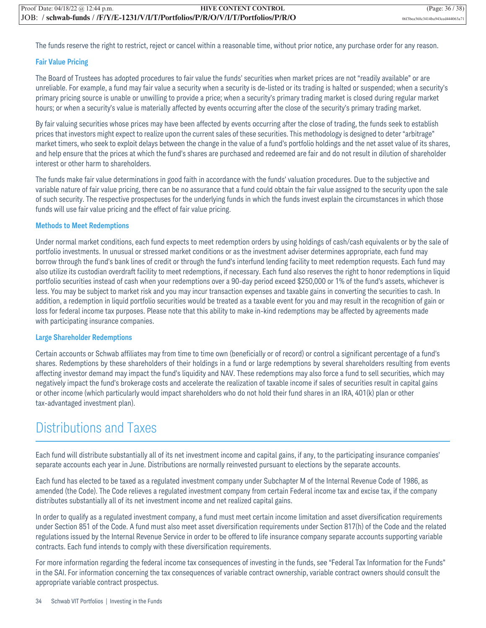The funds reserve the right to restrict, reject or cancel within a reasonable time, without prior notice, any purchase order for any reason.

#### **Fair Value Pricing**

The Board of Trustees has adopted procedures to fair value the funds' securities when market prices are not "readily available" or are unreliable. For example, a fund may fair value a security when a security is de-listed or its trading is halted or suspended; when a security's primary pricing source is unable or unwilling to provide a price; when a security's primary trading market is closed during regular market hours; or when a security's value is materially affected by events occurring after the close of the security's primary trading market.

By fair valuing securities whose prices may have been affected by events occurring after the close of trading, the funds seek to establish prices that investors might expect to realize upon the current sales of these securities. This methodology is designed to deter "arbitrage" market timers, who seek to exploit delays between the change in the value of a fund's portfolio holdings and the net asset value of its shares, and help ensure that the prices at which the fund's shares are purchased and redeemed are fair and do not result in dilution of shareholder interest or other harm to shareholders.

The funds make fair value determinations in good faith in accordance with the funds' valuation procedures. Due to the subjective and variable nature of fair value pricing, there can be no assurance that a fund could obtain the fair value assigned to the security upon the sale of such security. The respective prospectuses for the underlying funds in which the funds invest explain the circumstances in which those funds will use fair value pricing and the effect of fair value pricing.

#### **Methods to Meet Redemptions**

Under normal market conditions, each fund expects to meet redemption orders by using holdings of cash/cash equivalents or by the sale of portfolio investments. In unusual or stressed market conditions or as the investment adviser determines appropriate, each fund may borrow through the fund's bank lines of credit or through the fund's interfund lending facility to meet redemption requests. Each fund may also utilize its custodian overdraft facility to meet redemptions, if necessary. Each fund also reserves the right to honor redemptions in liquid portfolio securities instead of cash when your redemptions over a 90-day period exceed \$250,000 or 1% of the fund's assets, whichever is less. You may be subject to market risk and you may incur transaction expenses and taxable gains in converting the securities to cash. In addition, a redemption in liquid portfolio securities would be treated as a taxable event for you and may result in the recognition of gain or loss for federal income tax purposes. Please note that this ability to make in-kind redemptions may be affected by agreements made with participating insurance companies.

#### **Large Shareholder Redemptions**

Certain accounts or Schwab affiliates may from time to time own (beneficially or of record) or control a significant percentage of a fund's shares. Redemptions by these shareholders of their holdings in a fund or large redemptions by several shareholders resulting from events affecting investor demand may impact the fund's liquidity and NAV. These redemptions may also force a fund to sell securities, which may negatively impact the fund's brokerage costs and accelerate the realization of taxable income if sales of securities result in capital gains or other income (which particularly would impact shareholders who do not hold their fund shares in an IRA, 401(k) plan or other tax-advantaged investment plan).

### Distributions and Taxes

Each fund will distribute substantially all of its net investment income and capital gains, if any, to the participating insurance companies' separate accounts each year in June. Distributions are normally reinvested pursuant to elections by the separate accounts.

Each fund has elected to be taxed as a regulated investment company under Subchapter M of the Internal Revenue Code of 1986, as amended (the Code). The Code relieves a regulated investment company from certain Federal income tax and excise tax, if the company distributes substantially all of its net investment income and net realized capital gains.

In order to qualify as a regulated investment company, a fund must meet certain income limitation and asset diversification requirements under Section 851 of the Code. A fund must also meet asset diversification requirements under Section 817(h) of the Code and the related regulations issued by the Internal Revenue Service in order to be offered to life insurance company separate accounts supporting variable contracts. Each fund intends to comply with these diversification requirements.

For more information regarding the federal income tax consequences of investing in the funds, see "Federal Tax Information for the Funds" in the SAI. For information concerning the tax consequences of variable contract ownership, variable contract owners should consult the appropriate variable contract prospectus.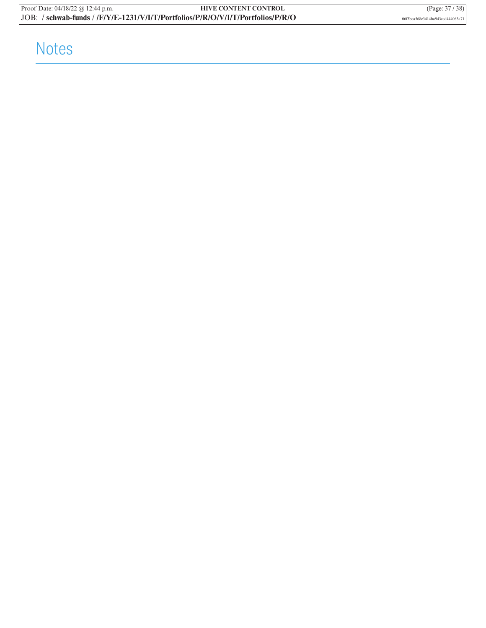## Notes